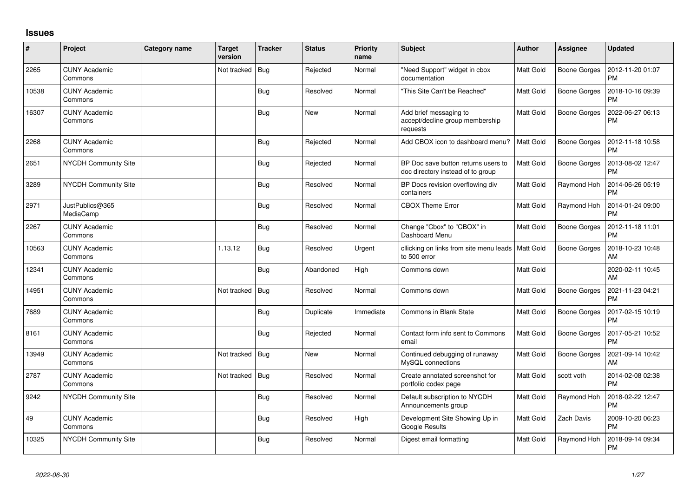## **Issues**

| $\#$  | Project                         | <b>Category name</b> | <b>Target</b><br>version | <b>Tracker</b> | <b>Status</b> | <b>Priority</b><br>name | <b>Subject</b>                                                           | Author           | <b>Assignee</b>     | <b>Updated</b>                |
|-------|---------------------------------|----------------------|--------------------------|----------------|---------------|-------------------------|--------------------------------------------------------------------------|------------------|---------------------|-------------------------------|
| 2265  | <b>CUNY Academic</b><br>Commons |                      | Not tracked              | <b>Bug</b>     | Rejected      | Normal                  | "Need Support" widget in cbox<br>documentation                           | Matt Gold        | Boone Gorges        | 2012-11-20 01:07<br><b>PM</b> |
| 10538 | <b>CUNY Academic</b><br>Commons |                      |                          | Bug            | Resolved      | Normal                  | "This Site Can't be Reached"                                             | Matt Gold        | Boone Gorges        | 2018-10-16 09:39<br><b>PM</b> |
| 16307 | <b>CUNY Academic</b><br>Commons |                      |                          | <b>Bug</b>     | <b>New</b>    | Normal                  | Add brief messaging to<br>accept/decline group membership<br>requests    | Matt Gold        | Boone Gorges        | 2022-06-27 06:13<br><b>PM</b> |
| 2268  | <b>CUNY Academic</b><br>Commons |                      |                          | <b>Bug</b>     | Rejected      | Normal                  | Add CBOX icon to dashboard menu?                                         | <b>Matt Gold</b> | Boone Gorges        | 2012-11-18 10:58<br><b>PM</b> |
| 2651  | <b>NYCDH Community Site</b>     |                      |                          | <b>Bug</b>     | Rejected      | Normal                  | BP Doc save button returns users to<br>doc directory instead of to group | Matt Gold        | Boone Gorges        | 2013-08-02 12:47<br><b>PM</b> |
| 3289  | NYCDH Community Site            |                      |                          | Bug            | Resolved      | Normal                  | BP Docs revision overflowing div<br>containers                           | Matt Gold        | Raymond Hoh         | 2014-06-26 05:19<br><b>PM</b> |
| 2971  | JustPublics@365<br>MediaCamp    |                      |                          | <b>Bug</b>     | Resolved      | Normal                  | <b>CBOX Theme Error</b>                                                  | Matt Gold        | Raymond Hoh         | 2014-01-24 09:00<br><b>PM</b> |
| 2267  | <b>CUNY Academic</b><br>Commons |                      |                          | <b>Bug</b>     | Resolved      | Normal                  | Change "Cbox" to "CBOX" in<br>Dashboard Menu                             | <b>Matt Gold</b> | <b>Boone Gorges</b> | 2012-11-18 11:01<br><b>PM</b> |
| 10563 | <b>CUNY Academic</b><br>Commons |                      | 1.13.12                  | Bug            | Resolved      | Urgent                  | cllicking on links from site menu leads<br>to 500 error                  | <b>Matt Gold</b> | Boone Gorges        | 2018-10-23 10:48<br>AM        |
| 12341 | <b>CUNY Academic</b><br>Commons |                      |                          | Bug            | Abandoned     | High                    | Commons down                                                             | Matt Gold        |                     | 2020-02-11 10:45<br>AM        |
| 14951 | <b>CUNY Academic</b><br>Commons |                      | Not tracked              | Bug            | Resolved      | Normal                  | Commons down                                                             | <b>Matt Gold</b> | <b>Boone Gorges</b> | 2021-11-23 04:21<br><b>PM</b> |
| 7689  | <b>CUNY Academic</b><br>Commons |                      |                          | <b>Bug</b>     | Duplicate     | Immediate               | Commons in Blank State                                                   | Matt Gold        | Boone Gorges        | 2017-02-15 10:19<br><b>PM</b> |
| 8161  | <b>CUNY Academic</b><br>Commons |                      |                          | Bug            | Rejected      | Normal                  | Contact form info sent to Commons<br>email                               | Matt Gold        | Boone Gorges        | 2017-05-21 10:52<br><b>PM</b> |
| 13949 | <b>CUNY Academic</b><br>Commons |                      | Not tracked              | <b>Bug</b>     | <b>New</b>    | Normal                  | Continued debugging of runaway<br><b>MvSQL</b> connections               | Matt Gold        | Boone Gorges        | 2021-09-14 10:42<br>AM        |
| 2787  | <b>CUNY Academic</b><br>Commons |                      | Not tracked              | Bug            | Resolved      | Normal                  | Create annotated screenshot for<br>portfolio codex page                  | <b>Matt Gold</b> | scott voth          | 2014-02-08 02:38<br><b>PM</b> |
| 9242  | NYCDH Community Site            |                      |                          | Bug            | Resolved      | Normal                  | Default subscription to NYCDH<br>Announcements group                     | <b>Matt Gold</b> | Raymond Hoh         | 2018-02-22 12:47<br><b>PM</b> |
| 49    | <b>CUNY Academic</b><br>Commons |                      |                          | Bug            | Resolved      | High                    | Development Site Showing Up in<br>Google Results                         | Matt Gold        | Zach Davis          | 2009-10-20 06:23<br><b>PM</b> |
| 10325 | <b>NYCDH Community Site</b>     |                      |                          | Bug            | Resolved      | Normal                  | Digest email formatting                                                  | Matt Gold        | Raymond Hoh         | 2018-09-14 09:34<br><b>PM</b> |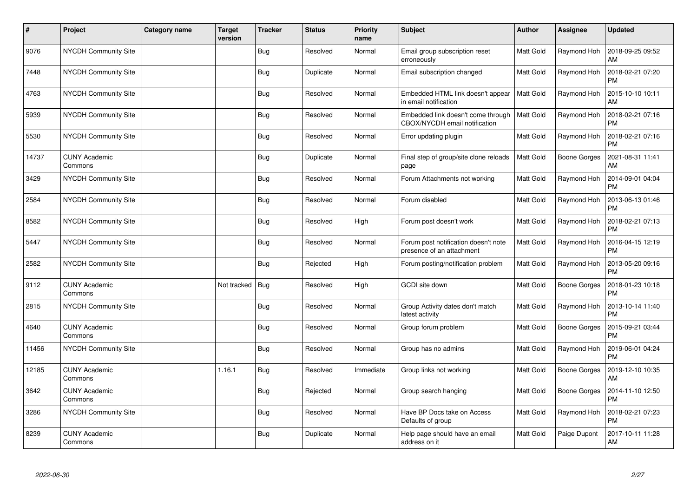| $\sharp$ | Project                         | <b>Category name</b> | Target<br>version | <b>Tracker</b> | <b>Status</b> | <b>Priority</b><br>name | <b>Subject</b>                                                      | Author           | <b>Assignee</b> | <b>Updated</b>                |
|----------|---------------------------------|----------------------|-------------------|----------------|---------------|-------------------------|---------------------------------------------------------------------|------------------|-----------------|-------------------------------|
| 9076     | NYCDH Community Site            |                      |                   | Bug            | Resolved      | Normal                  | Email group subscription reset<br>erroneously                       | <b>Matt Gold</b> | Raymond Hoh     | 2018-09-25 09:52<br>AM        |
| 7448     | <b>NYCDH Community Site</b>     |                      |                   | <b>Bug</b>     | Duplicate     | Normal                  | Email subscription changed                                          | <b>Matt Gold</b> | Raymond Hoh     | 2018-02-21 07:20<br><b>PM</b> |
| 4763     | NYCDH Community Site            |                      |                   | Bug            | Resolved      | Normal                  | Embedded HTML link doesn't appear<br>in email notification          | <b>Matt Gold</b> | Raymond Hoh     | 2015-10-10 10:11<br>AM        |
| 5939     | <b>NYCDH Community Site</b>     |                      |                   | Bug            | Resolved      | Normal                  | Embedded link doesn't come through<br>CBOX/NYCDH email notification | <b>Matt Gold</b> | Raymond Hoh     | 2018-02-21 07:16<br><b>PM</b> |
| 5530     | NYCDH Community Site            |                      |                   | <b>Bug</b>     | Resolved      | Normal                  | Error updating plugin                                               | Matt Gold        | Raymond Hoh     | 2018-02-21 07:16<br><b>PM</b> |
| 14737    | <b>CUNY Academic</b><br>Commons |                      |                   | <b>Bug</b>     | Duplicate     | Normal                  | Final step of group/site clone reloads<br>page                      | <b>Matt Gold</b> | Boone Gorges    | 2021-08-31 11:41<br>AM        |
| 3429     | <b>NYCDH Community Site</b>     |                      |                   | <b>Bug</b>     | Resolved      | Normal                  | Forum Attachments not working                                       | <b>Matt Gold</b> | Raymond Hoh     | 2014-09-01 04:04<br><b>PM</b> |
| 2584     | NYCDH Community Site            |                      |                   | <b>Bug</b>     | Resolved      | Normal                  | Forum disabled                                                      | Matt Gold        | Raymond Hoh     | 2013-06-13 01:46<br><b>PM</b> |
| 8582     | NYCDH Community Site            |                      |                   | <b>Bug</b>     | Resolved      | High                    | Forum post doesn't work                                             | <b>Matt Gold</b> | Raymond Hoh     | 2018-02-21 07:13<br><b>PM</b> |
| 5447     | <b>NYCDH Community Site</b>     |                      |                   | <b>Bug</b>     | Resolved      | Normal                  | Forum post notification doesn't note<br>presence of an attachment   | <b>Matt Gold</b> | Raymond Hoh     | 2016-04-15 12:19<br><b>PM</b> |
| 2582     | <b>NYCDH Community Site</b>     |                      |                   | <b>Bug</b>     | Rejected      | High                    | Forum posting/notification problem                                  | <b>Matt Gold</b> | Raymond Hoh     | 2013-05-20 09:16<br><b>PM</b> |
| 9112     | <b>CUNY Academic</b><br>Commons |                      | Not tracked       | Bug            | Resolved      | High                    | GCDI site down                                                      | <b>Matt Gold</b> | Boone Gorges    | 2018-01-23 10:18<br><b>PM</b> |
| 2815     | NYCDH Community Site            |                      |                   | <b>Bug</b>     | Resolved      | Normal                  | Group Activity dates don't match<br>latest activity                 | Matt Gold        | Raymond Hoh     | 2013-10-14 11:40<br><b>PM</b> |
| 4640     | <b>CUNY Academic</b><br>Commons |                      |                   | Bug            | Resolved      | Normal                  | Group forum problem                                                 | <b>Matt Gold</b> | Boone Gorges    | 2015-09-21 03:44<br><b>PM</b> |
| 11456    | <b>NYCDH Community Site</b>     |                      |                   | <b>Bug</b>     | Resolved      | Normal                  | Group has no admins                                                 | <b>Matt Gold</b> | Raymond Hoh     | 2019-06-01 04:24<br><b>PM</b> |
| 12185    | <b>CUNY Academic</b><br>Commons |                      | 1.16.1            | <b>Bug</b>     | Resolved      | Immediate               | Group links not working                                             | <b>Matt Gold</b> | Boone Gorges    | 2019-12-10 10:35<br>AM        |
| 3642     | <b>CUNY Academic</b><br>Commons |                      |                   | <b>Bug</b>     | Rejected      | Normal                  | Group search hanging                                                | <b>Matt Gold</b> | Boone Gorges    | 2014-11-10 12:50<br><b>PM</b> |
| 3286     | <b>NYCDH Community Site</b>     |                      |                   | <b>Bug</b>     | Resolved      | Normal                  | Have BP Docs take on Access<br>Defaults of group                    | <b>Matt Gold</b> | Raymond Hoh     | 2018-02-21 07:23<br><b>PM</b> |
| 8239     | <b>CUNY Academic</b><br>Commons |                      |                   | Bug            | Duplicate     | Normal                  | Help page should have an email<br>address on it                     | Matt Gold        | Paige Dupont    | 2017-10-11 11:28<br>AM        |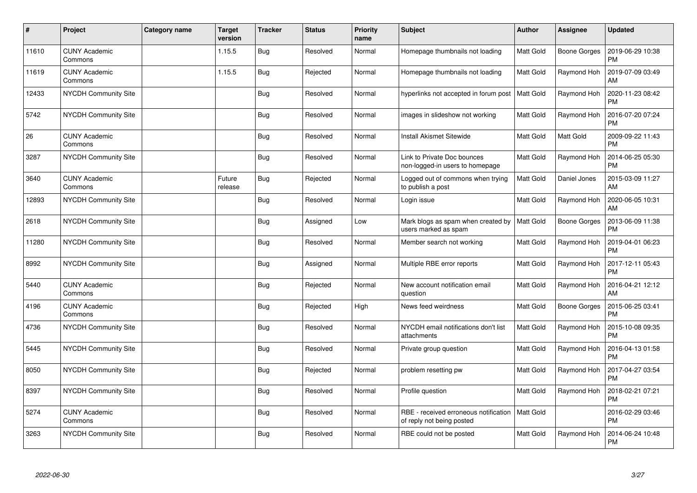| #     | Project                         | <b>Category name</b> | Target<br>version | <b>Tracker</b> | <b>Status</b> | <b>Priority</b><br>name | <b>Subject</b>                                                     | Author           | Assignee     | <b>Updated</b>                |
|-------|---------------------------------|----------------------|-------------------|----------------|---------------|-------------------------|--------------------------------------------------------------------|------------------|--------------|-------------------------------|
| 11610 | <b>CUNY Academic</b><br>Commons |                      | 1.15.5            | Bug            | Resolved      | Normal                  | Homepage thumbnails not loading                                    | <b>Matt Gold</b> | Boone Gorges | 2019-06-29 10:38<br><b>PM</b> |
| 11619 | <b>CUNY Academic</b><br>Commons |                      | 1.15.5            | <b>Bug</b>     | Rejected      | Normal                  | Homepage thumbnails not loading                                    | Matt Gold        | Raymond Hoh  | 2019-07-09 03:49<br>AM        |
| 12433 | NYCDH Community Site            |                      |                   | Bug            | Resolved      | Normal                  | hyperlinks not accepted in forum post                              | Matt Gold        | Raymond Hoh  | 2020-11-23 08:42<br><b>PM</b> |
| 5742  | <b>NYCDH Community Site</b>     |                      |                   | <b>Bug</b>     | Resolved      | Normal                  | images in slideshow not working                                    | Matt Gold        | Raymond Hoh  | 2016-07-20 07:24<br><b>PM</b> |
| 26    | <b>CUNY Academic</b><br>Commons |                      |                   | <b>Bug</b>     | Resolved      | Normal                  | <b>Install Akismet Sitewide</b>                                    | <b>Matt Gold</b> | Matt Gold    | 2009-09-22 11:43<br><b>PM</b> |
| 3287  | <b>NYCDH Community Site</b>     |                      |                   | <b>Bug</b>     | Resolved      | Normal                  | Link to Private Doc bounces<br>non-logged-in users to homepage     | Matt Gold        | Raymond Hoh  | 2014-06-25 05:30<br><b>PM</b> |
| 3640  | <b>CUNY Academic</b><br>Commons |                      | Future<br>release | Bug            | Rejected      | Normal                  | Logged out of commons when trying<br>to publish a post             | Matt Gold        | Daniel Jones | 2015-03-09 11:27<br>AM        |
| 12893 | <b>NYCDH Community Site</b>     |                      |                   | Bug            | Resolved      | Normal                  | Login issue                                                        | Matt Gold        | Raymond Hoh  | 2020-06-05 10:31<br>AM        |
| 2618  | NYCDH Community Site            |                      |                   | <b>Bug</b>     | Assigned      | Low                     | Mark blogs as spam when created by<br>users marked as spam         | Matt Gold        | Boone Gorges | 2013-06-09 11:38<br><b>PM</b> |
| 11280 | <b>NYCDH Community Site</b>     |                      |                   | Bug            | Resolved      | Normal                  | Member search not working                                          | Matt Gold        | Raymond Hoh  | 2019-04-01 06:23<br><b>PM</b> |
| 8992  | <b>NYCDH Community Site</b>     |                      |                   | <b>Bug</b>     | Assigned      | Normal                  | Multiple RBE error reports                                         | Matt Gold        | Raymond Hoh  | 2017-12-11 05:43<br><b>PM</b> |
| 5440  | <b>CUNY Academic</b><br>Commons |                      |                   | Bug            | Rejected      | Normal                  | New account notification email<br>question                         | Matt Gold        | Raymond Hoh  | 2016-04-21 12:12<br>AM        |
| 4196  | <b>CUNY Academic</b><br>Commons |                      |                   | <b>Bug</b>     | Rejected      | High                    | News feed weirdness                                                | <b>Matt Gold</b> | Boone Gorges | 2015-06-25 03:41<br>PM        |
| 4736  | <b>NYCDH Community Site</b>     |                      |                   | Bug            | Resolved      | Normal                  | NYCDH email notifications don't list<br>attachments                | <b>Matt Gold</b> | Raymond Hoh  | 2015-10-08 09:35<br><b>PM</b> |
| 5445  | NYCDH Community Site            |                      |                   | <b>Bug</b>     | Resolved      | Normal                  | Private group question                                             | <b>Matt Gold</b> | Raymond Hoh  | 2016-04-13 01:58<br><b>PM</b> |
| 8050  | NYCDH Community Site            |                      |                   | <b>Bug</b>     | Rejected      | Normal                  | problem resetting pw                                               | <b>Matt Gold</b> | Raymond Hoh  | 2017-04-27 03:54<br><b>PM</b> |
| 8397  | <b>NYCDH Community Site</b>     |                      |                   | <b>Bug</b>     | Resolved      | Normal                  | Profile question                                                   | <b>Matt Gold</b> | Raymond Hoh  | 2018-02-21 07:21<br><b>PM</b> |
| 5274  | <b>CUNY Academic</b><br>Commons |                      |                   | <b>Bug</b>     | Resolved      | Normal                  | RBE - received erroneous notification<br>of reply not being posted | Matt Gold        |              | 2016-02-29 03:46<br><b>PM</b> |
| 3263  | <b>NYCDH Community Site</b>     |                      |                   | Bug            | Resolved      | Normal                  | RBE could not be posted                                            | <b>Matt Gold</b> | Raymond Hoh  | 2014-06-24 10:48<br>PM        |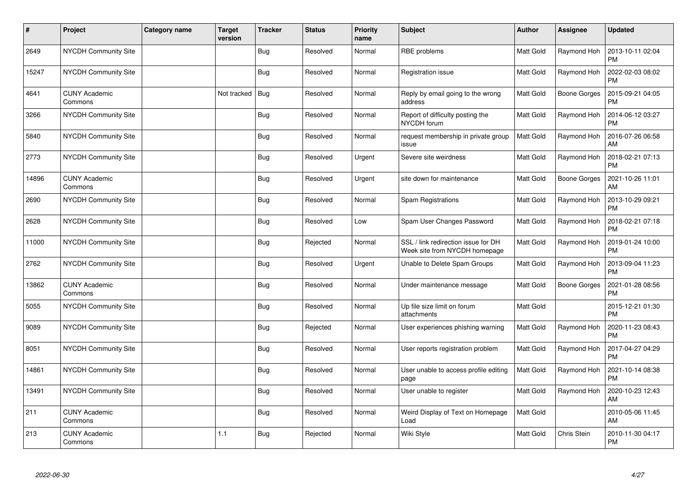| #     | Project                         | <b>Category name</b> | <b>Target</b><br>version | <b>Tracker</b> | <b>Status</b> | <b>Priority</b><br>name | <b>Subject</b>                                                       | Author           | Assignee            | <b>Updated</b>                |
|-------|---------------------------------|----------------------|--------------------------|----------------|---------------|-------------------------|----------------------------------------------------------------------|------------------|---------------------|-------------------------------|
| 2649  | NYCDH Community Site            |                      |                          | Bug            | Resolved      | Normal                  | RBE problems                                                         | <b>Matt Gold</b> | Raymond Hoh         | 2013-10-11 02:04<br><b>PM</b> |
| 15247 | <b>NYCDH Community Site</b>     |                      |                          | <b>Bug</b>     | Resolved      | Normal                  | Registration issue                                                   | <b>Matt Gold</b> | Raymond Hoh         | 2022-02-03 08:02<br><b>PM</b> |
| 4641  | <b>CUNY Academic</b><br>Commons |                      | Not tracked              | Bug            | Resolved      | Normal                  | Reply by email going to the wrong<br>address                         | <b>Matt Gold</b> | <b>Boone Gorges</b> | 2015-09-21 04:05<br><b>PM</b> |
| 3266  | <b>NYCDH Community Site</b>     |                      |                          | Bug            | Resolved      | Normal                  | Report of difficulty posting the<br>NYCDH forum                      | Matt Gold        | Raymond Hoh         | 2014-06-12 03:27<br><b>PM</b> |
| 5840  | NYCDH Community Site            |                      |                          | <b>Bug</b>     | Resolved      | Normal                  | request membership in private group<br>issue                         | Matt Gold        | Raymond Hoh         | 2016-07-26 06:58<br><b>AM</b> |
| 2773  | <b>NYCDH Community Site</b>     |                      |                          | <b>Bug</b>     | Resolved      | Urgent                  | Severe site weirdness                                                | <b>Matt Gold</b> | Raymond Hoh         | 2018-02-21 07:13<br><b>PM</b> |
| 14896 | <b>CUNY Academic</b><br>Commons |                      |                          | <b>Bug</b>     | Resolved      | Urgent                  | site down for maintenance                                            | <b>Matt Gold</b> | Boone Gorges        | 2021-10-26 11:01<br>AM        |
| 2690  | NYCDH Community Site            |                      |                          | <b>Bug</b>     | Resolved      | Normal                  | Spam Registrations                                                   | Matt Gold        | Raymond Hoh         | 2013-10-29 09:21<br><b>PM</b> |
| 2628  | NYCDH Community Site            |                      |                          | <b>Bug</b>     | Resolved      | Low                     | Spam User Changes Password                                           | <b>Matt Gold</b> | Raymond Hoh         | 2018-02-21 07:18<br><b>PM</b> |
| 11000 | <b>NYCDH Community Site</b>     |                      |                          | <b>Bug</b>     | Rejected      | Normal                  | SSL / link redirection issue for DH<br>Week site from NYCDH homepage | Matt Gold        | Raymond Hoh         | 2019-01-24 10:00<br><b>PM</b> |
| 2762  | <b>NYCDH Community Site</b>     |                      |                          | <b>Bug</b>     | Resolved      | Urgent                  | Unable to Delete Spam Groups                                         | Matt Gold        | Raymond Hoh         | 2013-09-04 11:23<br><b>PM</b> |
| 13862 | <b>CUNY Academic</b><br>Commons |                      |                          | Bug            | Resolved      | Normal                  | Under maintenance message                                            | <b>Matt Gold</b> | Boone Gorges        | 2021-01-28 08:56<br><b>PM</b> |
| 5055  | NYCDH Community Site            |                      |                          | Bug            | Resolved      | Normal                  | Up file size limit on forum<br>attachments                           | Matt Gold        |                     | 2015-12-21 01:30<br><b>PM</b> |
| 9089  | <b>NYCDH Community Site</b>     |                      |                          | Bug            | Rejected      | Normal                  | User experiences phishing warning                                    | Matt Gold        | Raymond Hoh         | 2020-11-23 08:43<br>PM        |
| 8051  | <b>NYCDH Community Site</b>     |                      |                          | <b>Bug</b>     | Resolved      | Normal                  | User reports registration problem                                    | <b>Matt Gold</b> | Raymond Hoh         | 2017-04-27 04:29<br><b>PM</b> |
| 14861 | NYCDH Community Site            |                      |                          | <b>Bug</b>     | Resolved      | Normal                  | User unable to access profile editing<br>page                        | Matt Gold        | Raymond Hoh         | 2021-10-14 08:38<br><b>PM</b> |
| 13491 | <b>NYCDH Community Site</b>     |                      |                          | <b>Bug</b>     | Resolved      | Normal                  | User unable to register                                              | <b>Matt Gold</b> | Raymond Hoh         | 2020-10-23 12:43<br>AM        |
| 211   | <b>CUNY Academic</b><br>Commons |                      |                          | <b>Bug</b>     | Resolved      | Normal                  | Weird Display of Text on Homepage<br>Load                            | <b>Matt Gold</b> |                     | 2010-05-06 11:45<br>AM        |
| 213   | <b>CUNY Academic</b><br>Commons |                      | 1.1                      | Bug            | Rejected      | Normal                  | Wiki Style                                                           | <b>Matt Gold</b> | Chris Stein         | 2010-11-30 04:17<br>PM        |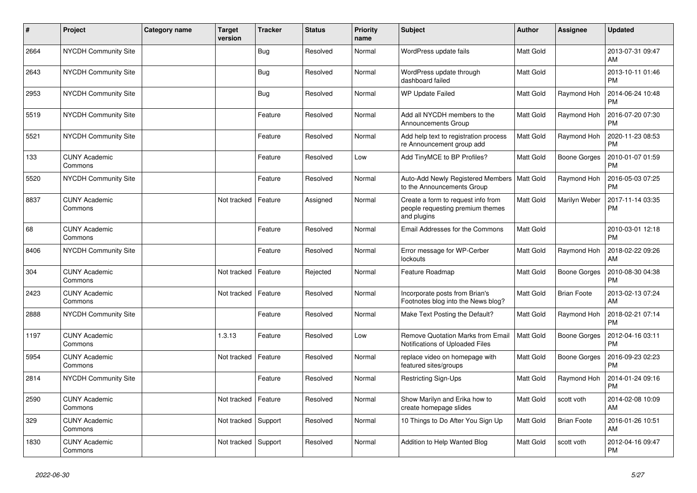| $\vert$ # | Project                         | Category name | <b>Target</b><br>version | <b>Tracker</b> | <b>Status</b> | <b>Priority</b><br>name | <b>Subject</b>                                                                        | <b>Author</b> | <b>Assignee</b>     | <b>Updated</b>                |
|-----------|---------------------------------|---------------|--------------------------|----------------|---------------|-------------------------|---------------------------------------------------------------------------------------|---------------|---------------------|-------------------------------|
| 2664      | <b>NYCDH Community Site</b>     |               |                          | <b>Bug</b>     | Resolved      | Normal                  | WordPress update fails                                                                | Matt Gold     |                     | 2013-07-31 09:47<br>AM        |
| 2643      | <b>NYCDH Community Site</b>     |               |                          | Bug            | Resolved      | Normal                  | WordPress update through<br>dashboard failed                                          | Matt Gold     |                     | 2013-10-11 01:46<br><b>PM</b> |
| 2953      | <b>NYCDH Community Site</b>     |               |                          | <b>Bug</b>     | Resolved      | Normal                  | <b>WP Update Failed</b>                                                               | Matt Gold     | Raymond Hoh         | 2014-06-24 10:48<br><b>PM</b> |
| 5519      | <b>NYCDH Community Site</b>     |               |                          | Feature        | Resolved      | Normal                  | Add all NYCDH members to the<br>Announcements Group                                   | Matt Gold     | Raymond Hoh         | 2016-07-20 07:30<br><b>PM</b> |
| 5521      | NYCDH Community Site            |               |                          | Feature        | Resolved      | Normal                  | Add help text to registration process<br>re Announcement group add                    | Matt Gold     | Raymond Hoh         | 2020-11-23 08:53<br><b>PM</b> |
| 133       | <b>CUNY Academic</b><br>Commons |               |                          | Feature        | Resolved      | Low                     | Add TinyMCE to BP Profiles?                                                           | Matt Gold     | <b>Boone Gorges</b> | 2010-01-07 01:59<br><b>PM</b> |
| 5520      | NYCDH Community Site            |               |                          | Feature        | Resolved      | Normal                  | Auto-Add Newly Registered Members<br>to the Announcements Group                       | Matt Gold     | Raymond Hoh         | 2016-05-03 07:25<br><b>PM</b> |
| 8837      | <b>CUNY Academic</b><br>Commons |               | Not tracked              | Feature        | Assigned      | Normal                  | Create a form to request info from<br>people requesting premium themes<br>and plugins | Matt Gold     | Marilyn Weber       | 2017-11-14 03:35<br><b>PM</b> |
| 68        | <b>CUNY Academic</b><br>Commons |               |                          | Feature        | Resolved      | Normal                  | Email Addresses for the Commons                                                       | Matt Gold     |                     | 2010-03-01 12:18<br><b>PM</b> |
| 8406      | NYCDH Community Site            |               |                          | Feature        | Resolved      | Normal                  | Error message for WP-Cerber<br>lockouts                                               | Matt Gold     | Raymond Hoh         | 2018-02-22 09:26<br>AM        |
| 304       | <b>CUNY Academic</b><br>Commons |               | Not tracked              | Feature        | Rejected      | Normal                  | Feature Roadmap                                                                       | Matt Gold     | <b>Boone Gorges</b> | 2010-08-30 04:38<br><b>PM</b> |
| 2423      | <b>CUNY Academic</b><br>Commons |               | Not tracked              | Feature        | Resolved      | Normal                  | Incorporate posts from Brian's<br>Footnotes blog into the News blog?                  | Matt Gold     | <b>Brian Foote</b>  | 2013-02-13 07:24<br>AM        |
| 2888      | <b>NYCDH Community Site</b>     |               |                          | Feature        | Resolved      | Normal                  | Make Text Posting the Default?                                                        | Matt Gold     | Raymond Hoh         | 2018-02-21 07:14<br><b>PM</b> |
| 1197      | <b>CUNY Academic</b><br>Commons |               | 1.3.13                   | Feature        | Resolved      | Low                     | <b>Remove Quotation Marks from Email</b><br>Notifications of Uploaded Files           | Matt Gold     | Boone Gorges        | 2012-04-16 03:11<br><b>PM</b> |
| 5954      | <b>CUNY Academic</b><br>Commons |               | Not tracked              | Feature        | Resolved      | Normal                  | replace video on homepage with<br>featured sites/groups                               | Matt Gold     | Boone Gorges        | 2016-09-23 02:23<br><b>PM</b> |
| 2814      | <b>NYCDH Community Site</b>     |               |                          | Feature        | Resolved      | Normal                  | <b>Restricting Sign-Ups</b>                                                           | Matt Gold     | Raymond Hoh         | 2014-01-24 09:16<br><b>PM</b> |
| 2590      | <b>CUNY Academic</b><br>Commons |               | Not tracked              | Feature        | Resolved      | Normal                  | Show Marilyn and Erika how to<br>create homepage slides                               | Matt Gold     | scott voth          | 2014-02-08 10:09<br>AM        |
| 329       | <b>CUNY Academic</b><br>Commons |               | Not tracked              | Support        | Resolved      | Normal                  | 10 Things to Do After You Sign Up                                                     | Matt Gold     | <b>Brian Foote</b>  | 2016-01-26 10:51<br>AM        |
| 1830      | <b>CUNY Academic</b><br>Commons |               | Not tracked              | Support        | Resolved      | Normal                  | Addition to Help Wanted Blog                                                          | Matt Gold     | scott voth          | 2012-04-16 09:47<br><b>PM</b> |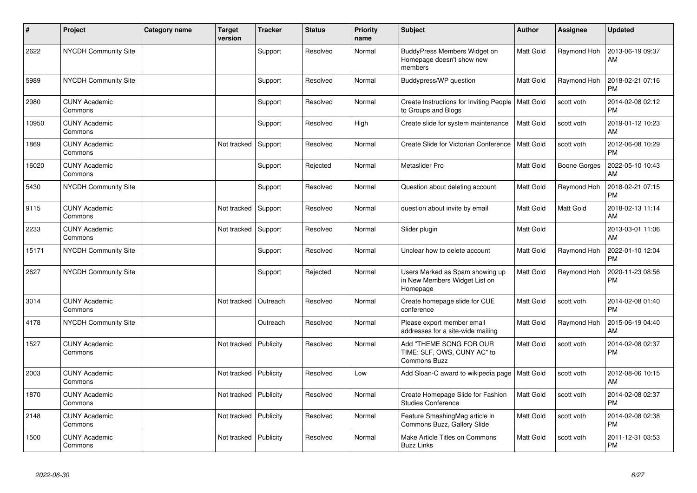| $\pmb{\sharp}$ | Project                         | <b>Category name</b> | <b>Target</b><br>version | <b>Tracker</b> | <b>Status</b> | <b>Priority</b><br>name | <b>Subject</b>                                                               | <b>Author</b>    | Assignee            | <b>Updated</b>                |
|----------------|---------------------------------|----------------------|--------------------------|----------------|---------------|-------------------------|------------------------------------------------------------------------------|------------------|---------------------|-------------------------------|
| 2622           | NYCDH Community Site            |                      |                          | Support        | Resolved      | Normal                  | BuddyPress Members Widget on<br>Homepage doesn't show new<br>members         | Matt Gold        | Raymond Hoh         | 2013-06-19 09:37<br>AM        |
| 5989           | NYCDH Community Site            |                      |                          | Support        | Resolved      | Normal                  | Buddypress/WP question                                                       | Matt Gold        | Raymond Hoh         | 2018-02-21 07:16<br><b>PM</b> |
| 2980           | <b>CUNY Academic</b><br>Commons |                      |                          | Support        | Resolved      | Normal                  | Create Instructions for Inviting People   Matt Gold<br>to Groups and Blogs   |                  | scott voth          | 2014-02-08 02:12<br><b>PM</b> |
| 10950          | <b>CUNY Academic</b><br>Commons |                      |                          | Support        | Resolved      | High                    | Create slide for system maintenance                                          | Matt Gold        | scott voth          | 2019-01-12 10:23<br>AM        |
| 1869           | <b>CUNY Academic</b><br>Commons |                      | Not tracked              | Support        | Resolved      | Normal                  | Create Slide for Victorian Conference                                        | <b>Matt Gold</b> | scott voth          | 2012-06-08 10:29<br><b>PM</b> |
| 16020          | <b>CUNY Academic</b><br>Commons |                      |                          | Support        | Rejected      | Normal                  | Metaslider Pro                                                               | Matt Gold        | <b>Boone Gorges</b> | 2022-05-10 10:43<br><b>AM</b> |
| 5430           | NYCDH Community Site            |                      |                          | Support        | Resolved      | Normal                  | Question about deleting account                                              | Matt Gold        | Raymond Hoh         | 2018-02-21 07:15<br><b>PM</b> |
| 9115           | <b>CUNY Academic</b><br>Commons |                      | Not tracked              | Support        | Resolved      | Normal                  | question about invite by email                                               | Matt Gold        | Matt Gold           | 2018-02-13 11:14<br>AM        |
| 2233           | <b>CUNY Academic</b><br>Commons |                      | Not tracked              | Support        | Resolved      | Normal                  | Slider plugin                                                                | Matt Gold        |                     | 2013-03-01 11:06<br>AM        |
| 15171          | NYCDH Community Site            |                      |                          | Support        | Resolved      | Normal                  | Unclear how to delete account                                                | Matt Gold        | Raymond Hoh         | 2022-01-10 12:04<br><b>PM</b> |
| 2627           | <b>NYCDH Community Site</b>     |                      |                          | Support        | Rejected      | Normal                  | Users Marked as Spam showing up<br>in New Members Widget List on<br>Homepage | Matt Gold        | Raymond Hoh         | 2020-11-23 08:56<br><b>PM</b> |
| 3014           | <b>CUNY Academic</b><br>Commons |                      | Not tracked              | Outreach       | Resolved      | Normal                  | Create homepage slide for CUE<br>conference                                  | Matt Gold        | scott voth          | 2014-02-08 01:40<br><b>PM</b> |
| 4178           | <b>NYCDH Community Site</b>     |                      |                          | Outreach       | Resolved      | Normal                  | Please export member email<br>addresses for a site-wide mailing              | Matt Gold        | Raymond Hoh         | 2015-06-19 04:40<br>AM        |
| 1527           | <b>CUNY Academic</b><br>Commons |                      | Not tracked              | Publicity      | Resolved      | Normal                  | Add "THEME SONG FOR OUR<br>TIME: SLF, OWS, CUNY AC" to<br>Commons Buzz       | Matt Gold        | scott voth          | 2014-02-08 02:37<br><b>PM</b> |
| 2003           | <b>CUNY Academic</b><br>Commons |                      | Not tracked              | Publicity      | Resolved      | Low                     | Add Sloan-C award to wikipedia page                                          | <b>Matt Gold</b> | scott voth          | 2012-08-06 10:15<br>AM        |
| 1870           | <b>CUNY Academic</b><br>Commons |                      | Not tracked              | Publicity      | Resolved      | Normal                  | Create Homepage Slide for Fashion<br><b>Studies Conference</b>               | Matt Gold        | scott voth          | 2014-02-08 02:37<br><b>PM</b> |
| 2148           | <b>CUNY Academic</b><br>Commons |                      | Not tracked              | Publicity      | Resolved      | Normal                  | Feature SmashingMag article in<br>Commons Buzz, Gallery Slide                | Matt Gold        | scott voth          | 2014-02-08 02:38<br><b>PM</b> |
| 1500           | <b>CUNY Academic</b><br>Commons |                      | Not tracked              | Publicity      | Resolved      | Normal                  | Make Article Titles on Commons<br><b>Buzz Links</b>                          | Matt Gold        | scott voth          | 2011-12-31 03:53<br><b>PM</b> |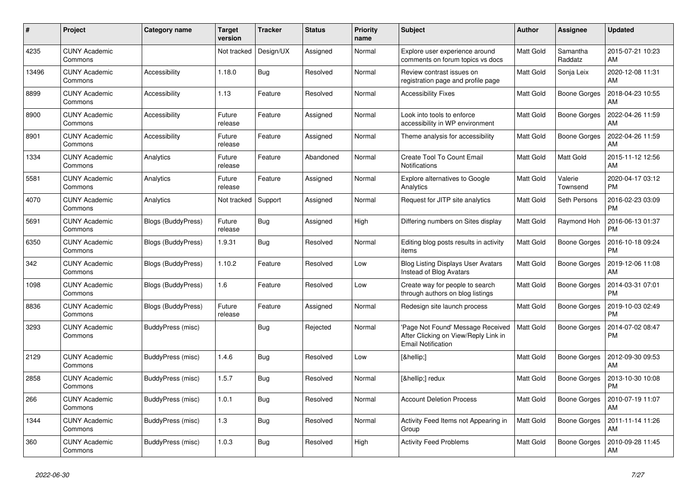| #     | Project                         | Category name      | Target<br>version | <b>Tracker</b> | <b>Status</b> | <b>Priority</b><br>name | <b>Subject</b>                                                                                         | <b>Author</b>    | <b>Assignee</b>     | <b>Updated</b>                |
|-------|---------------------------------|--------------------|-------------------|----------------|---------------|-------------------------|--------------------------------------------------------------------------------------------------------|------------------|---------------------|-------------------------------|
| 4235  | <b>CUNY Academic</b><br>Commons |                    | Not tracked       | Design/UX      | Assigned      | Normal                  | Explore user experience around<br>comments on forum topics vs docs                                     | <b>Matt Gold</b> | Samantha<br>Raddatz | 2015-07-21 10:23<br>AM        |
| 13496 | <b>CUNY Academic</b><br>Commons | Accessibility      | 1.18.0            | <b>Bug</b>     | Resolved      | Normal                  | Review contrast issues on<br>registration page and profile page                                        | <b>Matt Gold</b> | Sonja Leix          | 2020-12-08 11:31<br>AM        |
| 8899  | <b>CUNY Academic</b><br>Commons | Accessibility      | 1.13              | Feature        | Resolved      | Normal                  | <b>Accessibility Fixes</b>                                                                             | <b>Matt Gold</b> | Boone Gorges        | 2018-04-23 10:55<br>AM        |
| 8900  | <b>CUNY Academic</b><br>Commons | Accessibility      | Future<br>release | Feature        | Assigned      | Normal                  | Look into tools to enforce<br>accessibility in WP environment                                          | <b>Matt Gold</b> | <b>Boone Gorges</b> | 2022-04-26 11:59<br>AM        |
| 8901  | <b>CUNY Academic</b><br>Commons | Accessibility      | Future<br>release | Feature        | Assigned      | Normal                  | Theme analysis for accessibility                                                                       | <b>Matt Gold</b> | <b>Boone Gorges</b> | 2022-04-26 11:59<br>AM        |
| 1334  | <b>CUNY Academic</b><br>Commons | Analytics          | Future<br>release | Feature        | Abandoned     | Normal                  | Create Tool To Count Email<br><b>Notifications</b>                                                     | <b>Matt Gold</b> | Matt Gold           | 2015-11-12 12:56<br>AM        |
| 5581  | <b>CUNY Academic</b><br>Commons | Analytics          | Future<br>release | Feature        | Assigned      | Normal                  | <b>Explore alternatives to Google</b><br>Analytics                                                     | <b>Matt Gold</b> | Valerie<br>Townsend | 2020-04-17 03:12<br><b>PM</b> |
| 4070  | <b>CUNY Academic</b><br>Commons | Analytics          | Not tracked       | Support        | Assigned      | Normal                  | Request for JITP site analytics                                                                        | <b>Matt Gold</b> | Seth Persons        | 2016-02-23 03:09<br><b>PM</b> |
| 5691  | <b>CUNY Academic</b><br>Commons | Blogs (BuddyPress) | Future<br>release | Bug            | Assigned      | High                    | Differing numbers on Sites display                                                                     | <b>Matt Gold</b> | Raymond Hoh         | 2016-06-13 01:37<br><b>PM</b> |
| 6350  | <b>CUNY Academic</b><br>Commons | Blogs (BuddyPress) | 1.9.31            | Bug            | Resolved      | Normal                  | Editing blog posts results in activity<br>items                                                        | Matt Gold        | Boone Gorges        | 2016-10-18 09:24<br><b>PM</b> |
| 342   | <b>CUNY Academic</b><br>Commons | Blogs (BuddyPress) | 1.10.2            | Feature        | Resolved      | Low                     | <b>Blog Listing Displays User Avatars</b><br>Instead of Blog Avatars                                   | <b>Matt Gold</b> | Boone Gorges        | 2019-12-06 11:08<br>AM        |
| 1098  | <b>CUNY Academic</b><br>Commons | Blogs (BuddyPress) | 1.6               | Feature        | Resolved      | Low                     | Create way for people to search<br>through authors on blog listings                                    | <b>Matt Gold</b> | <b>Boone Gorges</b> | 2014-03-31 07:01<br><b>PM</b> |
| 8836  | <b>CUNY Academic</b><br>Commons | Blogs (BuddyPress) | Future<br>release | Feature        | Assigned      | Normal                  | Redesign site launch process                                                                           | <b>Matt Gold</b> | Boone Gorges        | 2019-10-03 02:49<br><b>PM</b> |
| 3293  | <b>CUNY Academic</b><br>Commons | BuddyPress (misc)  |                   | Bug            | Rejected      | Normal                  | 'Page Not Found' Message Received<br>After Clicking on View/Reply Link in<br><b>Email Notification</b> | <b>Matt Gold</b> | <b>Boone Gorges</b> | 2014-07-02 08:47<br><b>PM</b> |
| 2129  | <b>CUNY Academic</b><br>Commons | BuddyPress (misc)  | 1.4.6             | <b>Bug</b>     | Resolved      | Low                     | […]                                                                                                    | <b>Matt Gold</b> | Boone Gorges        | 2012-09-30 09:53<br>AM        |
| 2858  | <b>CUNY Academic</b><br>Commons | BuddyPress (misc)  | 1.5.7             | Bug            | Resolved      | Normal                  | […] redux                                                                                              | Matt Gold        | <b>Boone Gorges</b> | 2013-10-30 10:08<br><b>PM</b> |
| 266   | <b>CUNY Academic</b><br>Commons | BuddyPress (misc)  | 1.0.1             | <b>Bug</b>     | Resolved      | Normal                  | <b>Account Deletion Process</b>                                                                        | <b>Matt Gold</b> | Boone Gorges        | 2010-07-19 11:07<br>AM        |
| 1344  | <b>CUNY Academic</b><br>Commons | BuddyPress (misc)  | 1.3               | Bug            | Resolved      | Normal                  | Activity Feed Items not Appearing in<br>Group                                                          | <b>Matt Gold</b> | Boone Gorges        | 2011-11-14 11:26<br>AM        |
| 360   | <b>CUNY Academic</b><br>Commons | BuddyPress (misc)  | 1.0.3             | Bug            | Resolved      | High                    | <b>Activity Feed Problems</b>                                                                          | <b>Matt Gold</b> | <b>Boone Gorges</b> | 2010-09-28 11:45<br>AM        |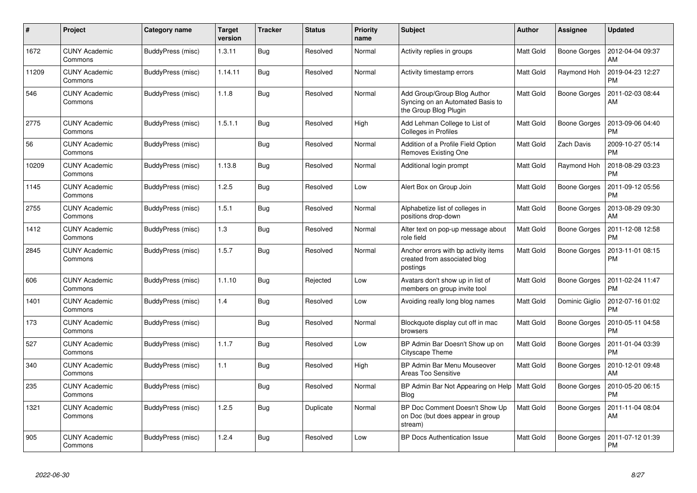| #     | Project                         | Category name     | Target<br>version | <b>Tracker</b> | <b>Status</b> | <b>Priority</b><br>name | <b>Subject</b>                                                                           | <b>Author</b>    | Assignee            | <b>Updated</b>                |
|-------|---------------------------------|-------------------|-------------------|----------------|---------------|-------------------------|------------------------------------------------------------------------------------------|------------------|---------------------|-------------------------------|
| 1672  | <b>CUNY Academic</b><br>Commons | BuddyPress (misc) | 1.3.11            | <b>Bug</b>     | Resolved      | Normal                  | Activity replies in groups                                                               | <b>Matt Gold</b> | <b>Boone Gorges</b> | 2012-04-04 09:37<br>AM        |
| 11209 | <b>CUNY Academic</b><br>Commons | BuddyPress (misc) | 1.14.11           | Bug            | Resolved      | Normal                  | Activity timestamp errors                                                                | <b>Matt Gold</b> | Raymond Hoh         | 2019-04-23 12:27<br><b>PM</b> |
| 546   | <b>CUNY Academic</b><br>Commons | BuddyPress (misc) | 1.1.8             | Bug            | Resolved      | Normal                  | Add Group/Group Blog Author<br>Syncing on an Automated Basis to<br>the Group Blog Plugin | <b>Matt Gold</b> | <b>Boone Gorges</b> | 2011-02-03 08:44<br>AM        |
| 2775  | <b>CUNY Academic</b><br>Commons | BuddyPress (misc) | 1.5.1.1           | <b>Bug</b>     | Resolved      | High                    | Add Lehman College to List of<br>Colleges in Profiles                                    | <b>Matt Gold</b> | <b>Boone Gorges</b> | 2013-09-06 04:40<br><b>PM</b> |
| 56    | <b>CUNY Academic</b><br>Commons | BuddyPress (misc) |                   | <b>Bug</b>     | Resolved      | Normal                  | Addition of a Profile Field Option<br>Removes Existing One                               | <b>Matt Gold</b> | Zach Davis          | 2009-10-27 05:14<br><b>PM</b> |
| 10209 | <b>CUNY Academic</b><br>Commons | BuddyPress (misc) | 1.13.8            | <b>Bug</b>     | Resolved      | Normal                  | Additional login prompt                                                                  | <b>Matt Gold</b> | Raymond Hoh         | 2018-08-29 03:23<br><b>PM</b> |
| 1145  | <b>CUNY Academic</b><br>Commons | BuddyPress (misc) | 1.2.5             | Bug            | Resolved      | Low                     | Alert Box on Group Join                                                                  | Matt Gold        | <b>Boone Gorges</b> | 2011-09-12 05:56<br><b>PM</b> |
| 2755  | <b>CUNY Academic</b><br>Commons | BuddyPress (misc) | 1.5.1             | <b>Bug</b>     | Resolved      | Normal                  | Alphabetize list of colleges in<br>positions drop-down                                   | Matt Gold        | <b>Boone Gorges</b> | 2013-08-29 09:30<br>AM        |
| 1412  | <b>CUNY Academic</b><br>Commons | BuddyPress (misc) | 1.3               | Bug            | Resolved      | Normal                  | Alter text on pop-up message about<br>role field                                         | <b>Matt Gold</b> | Boone Gorges        | 2011-12-08 12:58<br><b>PM</b> |
| 2845  | <b>CUNY Academic</b><br>Commons | BuddyPress (misc) | 1.5.7             | Bug            | Resolved      | Normal                  | Anchor errors with bp activity items<br>created from associated blog<br>postings         | <b>Matt Gold</b> | <b>Boone Gorges</b> | 2013-11-01 08:15<br>PM        |
| 606   | <b>CUNY Academic</b><br>Commons | BuddyPress (misc) | 1.1.10            | Bug            | Rejected      | Low                     | Avatars don't show up in list of<br>members on group invite tool                         | <b>Matt Gold</b> | <b>Boone Gorges</b> | 2011-02-24 11:47<br><b>PM</b> |
| 1401  | <b>CUNY Academic</b><br>Commons | BuddyPress (misc) | 1.4               | <b>Bug</b>     | Resolved      | Low                     | Avoiding really long blog names                                                          | <b>Matt Gold</b> | Dominic Giglio      | 2012-07-16 01:02<br><b>PM</b> |
| 173   | <b>CUNY Academic</b><br>Commons | BuddyPress (misc) |                   | <b>Bug</b>     | Resolved      | Normal                  | Blockquote display cut off in mac<br>browsers                                            | <b>Matt Gold</b> | Boone Gorges        | 2010-05-11 04:58<br><b>PM</b> |
| 527   | <b>CUNY Academic</b><br>Commons | BuddyPress (misc) | 1.1.7             | <b>Bug</b>     | Resolved      | Low                     | BP Admin Bar Doesn't Show up on<br>Cityscape Theme                                       | <b>Matt Gold</b> | Boone Gorges        | 2011-01-04 03:39<br><b>PM</b> |
| 340   | <b>CUNY Academic</b><br>Commons | BuddyPress (misc) | 1.1               | <b>Bug</b>     | Resolved      | High                    | BP Admin Bar Menu Mouseover<br><b>Areas Too Sensitive</b>                                | <b>Matt Gold</b> | Boone Gorges        | 2010-12-01 09:48<br>AM        |
| 235   | <b>CUNY Academic</b><br>Commons | BuddyPress (misc) |                   | Bug            | Resolved      | Normal                  | BP Admin Bar Not Appearing on Help<br><b>Blog</b>                                        | <b>Matt Gold</b> | <b>Boone Gorges</b> | 2010-05-20 06:15<br><b>PM</b> |
| 1321  | <b>CUNY Academic</b><br>Commons | BuddyPress (misc) | 1.2.5             | Bug            | Duplicate     | Normal                  | BP Doc Comment Doesn't Show Up<br>on Doc (but does appear in group<br>stream)            | <b>Matt Gold</b> | Boone Gorges        | 2011-11-04 08:04<br>AM        |
| 905   | <b>CUNY Academic</b><br>Commons | BuddyPress (misc) | 1.2.4             | Bug            | Resolved      | Low                     | <b>BP Docs Authentication Issue</b>                                                      | <b>Matt Gold</b> | <b>Boone Gorges</b> | 2011-07-12 01:39<br><b>PM</b> |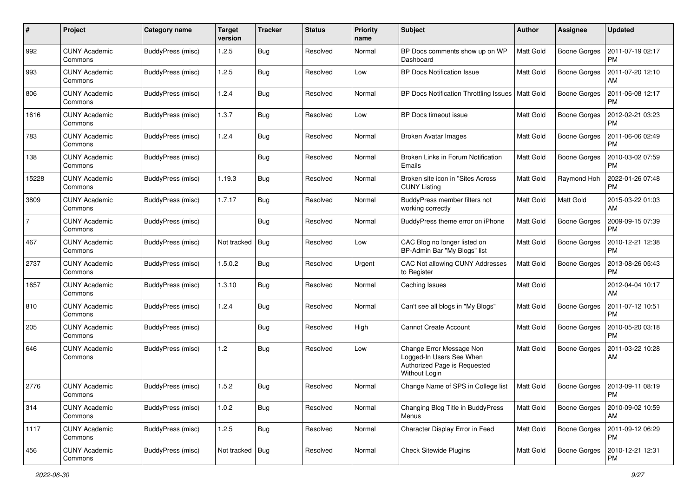| #              | Project                         | Category name     | <b>Target</b><br>version | <b>Tracker</b> | <b>Status</b> | <b>Priority</b><br>name | <b>Subject</b>                                                                                        | Author           | Assignee            | <b>Updated</b>                |
|----------------|---------------------------------|-------------------|--------------------------|----------------|---------------|-------------------------|-------------------------------------------------------------------------------------------------------|------------------|---------------------|-------------------------------|
| 992            | <b>CUNY Academic</b><br>Commons | BuddyPress (misc) | 1.2.5                    | <b>Bug</b>     | Resolved      | Normal                  | BP Docs comments show up on WP<br>Dashboard                                                           | Matt Gold        | <b>Boone Gorges</b> | 2011-07-19 02:17<br><b>PM</b> |
| 993            | <b>CUNY Academic</b><br>Commons | BuddyPress (misc) | 1.2.5                    | Bug            | Resolved      | Low                     | <b>BP Docs Notification Issue</b>                                                                     | Matt Gold        | <b>Boone Gorges</b> | 2011-07-20 12:10<br>AM        |
| 806            | CUNY Academic<br>Commons        | BuddyPress (misc) | 1.2.4                    | Bug            | Resolved      | Normal                  | BP Docs Notification Throttling Issues                                                                | <b>Matt Gold</b> | <b>Boone Gorges</b> | 2011-06-08 12:17<br><b>PM</b> |
| 1616           | <b>CUNY Academic</b><br>Commons | BuddyPress (misc) | 1.3.7                    | Bug            | Resolved      | Low                     | BP Docs timeout issue                                                                                 | <b>Matt Gold</b> | Boone Gorges        | 2012-02-21 03:23<br>PM        |
| 783            | <b>CUNY Academic</b><br>Commons | BuddyPress (misc) | 1.2.4                    | <b>Bug</b>     | Resolved      | Normal                  | <b>Broken Avatar Images</b>                                                                           | <b>Matt Gold</b> | <b>Boone Gorges</b> | 2011-06-06 02:49<br>PM        |
| 138            | <b>CUNY Academic</b><br>Commons | BuddyPress (misc) |                          | Bug            | Resolved      | Normal                  | Broken Links in Forum Notification<br>Emails                                                          | <b>Matt Gold</b> | Boone Gorges        | 2010-03-02 07:59<br><b>PM</b> |
| 15228          | <b>CUNY Academic</b><br>Commons | BuddyPress (misc) | 1.19.3                   | Bug            | Resolved      | Normal                  | Broken site icon in "Sites Across<br><b>CUNY Listing</b>                                              | <b>Matt Gold</b> | Raymond Hoh         | 2022-01-26 07:48<br><b>PM</b> |
| 3809           | <b>CUNY Academic</b><br>Commons | BuddyPress (misc) | 1.7.17                   | Bug            | Resolved      | Normal                  | BuddyPress member filters not<br>working correctly                                                    | Matt Gold        | Matt Gold           | 2015-03-22 01:03<br>AM        |
| $\overline{7}$ | <b>CUNY Academic</b><br>Commons | BuddyPress (misc) |                          | Bug            | Resolved      | Normal                  | BuddyPress theme error on iPhone                                                                      | <b>Matt Gold</b> | <b>Boone Gorges</b> | 2009-09-15 07:39<br><b>PM</b> |
| 467            | <b>CUNY Academic</b><br>Commons | BuddyPress (misc) | Not tracked              | Bug            | Resolved      | Low                     | CAC Blog no longer listed on<br>BP-Admin Bar "My Blogs" list                                          | <b>Matt Gold</b> | Boone Gorges        | 2010-12-21 12:38<br><b>PM</b> |
| 2737           | <b>CUNY Academic</b><br>Commons | BuddyPress (misc) | 1.5.0.2                  | Bug            | Resolved      | Urgent                  | CAC Not allowing CUNY Addresses<br>to Register                                                        | <b>Matt Gold</b> | <b>Boone Gorges</b> | 2013-08-26 05:43<br><b>PM</b> |
| 1657           | <b>CUNY Academic</b><br>Commons | BuddyPress (misc) | 1.3.10                   | Bug            | Resolved      | Normal                  | Caching Issues                                                                                        | <b>Matt Gold</b> |                     | 2012-04-04 10:17<br>AM        |
| 810            | <b>CUNY Academic</b><br>Commons | BuddyPress (misc) | 1.2.4                    | Bug            | Resolved      | Normal                  | Can't see all blogs in "My Blogs"                                                                     | <b>Matt Gold</b> | Boone Gorges        | 2011-07-12 10:51<br><b>PM</b> |
| 205            | <b>CUNY Academic</b><br>Commons | BuddyPress (misc) |                          | Bug            | Resolved      | High                    | <b>Cannot Create Account</b>                                                                          | <b>Matt Gold</b> | Boone Gorges        | 2010-05-20 03:18<br><b>PM</b> |
| 646            | <b>CUNY Academic</b><br>Commons | BuddyPress (misc) | 1.2                      | Bug            | Resolved      | Low                     | Change Error Message Non<br>Logged-In Users See When<br>Authorized Page is Requested<br>Without Login | <b>Matt Gold</b> | <b>Boone Gorges</b> | 2011-03-22 10:28<br>AM        |
| 2776           | <b>CUNY Academic</b><br>Commons | BuddyPress (misc) | 1.5.2                    | Bug            | Resolved      | Normal                  | Change Name of SPS in College list                                                                    | Matt Gold        | Boone Gorges        | 2013-09-11 08:19<br>PM        |
| 314            | <b>CUNY Academic</b><br>Commons | BuddyPress (misc) | 1.0.2                    | Bug            | Resolved      | Normal                  | Changing Blog Title in BuddyPress<br>Menus                                                            | Matt Gold        | <b>Boone Gorges</b> | 2010-09-02 10:59<br>AM        |
| 1117           | <b>CUNY Academic</b><br>Commons | BuddyPress (misc) | 1.2.5                    | <b>Bug</b>     | Resolved      | Normal                  | Character Display Error in Feed                                                                       | Matt Gold        | Boone Gorges        | 2011-09-12 06:29<br><b>PM</b> |
| 456            | <b>CUNY Academic</b><br>Commons | BuddyPress (misc) | Not tracked   Bug        |                | Resolved      | Normal                  | <b>Check Sitewide Plugins</b>                                                                         | Matt Gold        | Boone Gorges        | 2010-12-21 12:31<br>PM        |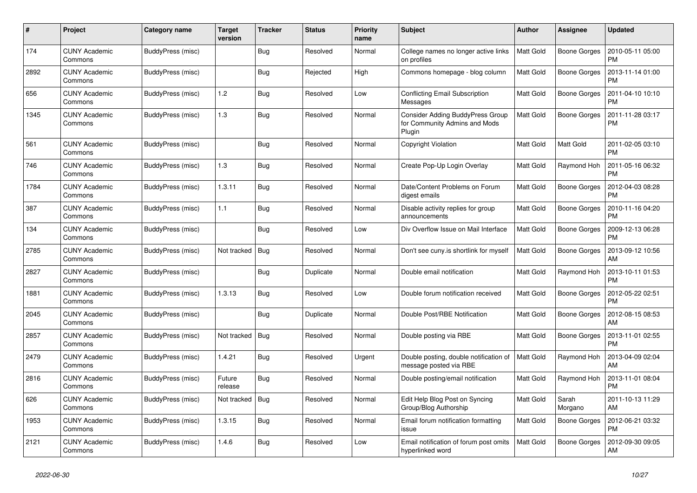| #    | Project                         | Category name     | <b>Target</b><br>version | <b>Tracker</b> | <b>Status</b> | <b>Priority</b><br>name | <b>Subject</b>                                                              | Author           | Assignee            | <b>Updated</b>                |
|------|---------------------------------|-------------------|--------------------------|----------------|---------------|-------------------------|-----------------------------------------------------------------------------|------------------|---------------------|-------------------------------|
| 174  | <b>CUNY Academic</b><br>Commons | BuddyPress (misc) |                          | Bug            | Resolved      | Normal                  | College names no longer active links<br>on profiles                         | <b>Matt Gold</b> | <b>Boone Gorges</b> | 2010-05-11 05:00<br>PM        |
| 2892 | <b>CUNY Academic</b><br>Commons | BuddyPress (misc) |                          | Bug            | Rejected      | High                    | Commons homepage - blog column                                              | <b>Matt Gold</b> | <b>Boone Gorges</b> | 2013-11-14 01:00<br>PM        |
| 656  | <b>CUNY Academic</b><br>Commons | BuddyPress (misc) | 1.2                      | Bug            | Resolved      | Low                     | <b>Conflicting Email Subscription</b><br>Messages                           | <b>Matt Gold</b> | Boone Gorges        | 2011-04-10 10:10<br><b>PM</b> |
| 1345 | <b>CUNY Academic</b><br>Commons | BuddyPress (misc) | 1.3                      | Bug            | Resolved      | Normal                  | Consider Adding BuddyPress Group<br>for Community Admins and Mods<br>Plugin | <b>Matt Gold</b> | <b>Boone Gorges</b> | 2011-11-28 03:17<br><b>PM</b> |
| 561  | <b>CUNY Academic</b><br>Commons | BuddyPress (misc) |                          | <b>Bug</b>     | Resolved      | Normal                  | Copyright Violation                                                         | <b>Matt Gold</b> | Matt Gold           | 2011-02-05 03:10<br><b>PM</b> |
| 746  | <b>CUNY Academic</b><br>Commons | BuddyPress (misc) | 1.3                      | <b>Bug</b>     | Resolved      | Normal                  | Create Pop-Up Login Overlay                                                 | <b>Matt Gold</b> | Raymond Hoh         | 2011-05-16 06:32<br><b>PM</b> |
| 1784 | <b>CUNY Academic</b><br>Commons | BuddyPress (misc) | 1.3.11                   | Bug            | Resolved      | Normal                  | Date/Content Problems on Forum<br>digest emails                             | <b>Matt Gold</b> | <b>Boone Gorges</b> | 2012-04-03 08:28<br><b>PM</b> |
| 387  | <b>CUNY Academic</b><br>Commons | BuddyPress (misc) | 1.1                      | Bug            | Resolved      | Normal                  | Disable activity replies for group<br>announcements                         | <b>Matt Gold</b> | Boone Gorges        | 2010-11-16 04:20<br><b>PM</b> |
| 134  | CUNY Academic<br>Commons        | BuddyPress (misc) |                          | <b>Bug</b>     | Resolved      | Low                     | Div Overflow Issue on Mail Interface                                        | <b>Matt Gold</b> | <b>Boone Gorges</b> | 2009-12-13 06:28<br><b>PM</b> |
| 2785 | <b>CUNY Academic</b><br>Commons | BuddyPress (misc) | Not tracked              | Bug            | Resolved      | Normal                  | Don't see cuny.is shortlink for myself                                      | <b>Matt Gold</b> | Boone Gorges        | 2013-09-12 10:56<br>AM        |
| 2827 | <b>CUNY Academic</b><br>Commons | BuddyPress (misc) |                          | Bug            | Duplicate     | Normal                  | Double email notification                                                   | <b>Matt Gold</b> | Raymond Hoh         | 2013-10-11 01:53<br><b>PM</b> |
| 1881 | <b>CUNY Academic</b><br>Commons | BuddyPress (misc) | 1.3.13                   | Bug            | Resolved      | Low                     | Double forum notification received                                          | <b>Matt Gold</b> | <b>Boone Gorges</b> | 2012-05-22 02:51<br><b>PM</b> |
| 2045 | <b>CUNY Academic</b><br>Commons | BuddyPress (misc) |                          | Bug            | Duplicate     | Normal                  | Double Post/RBE Notification                                                | <b>Matt Gold</b> | Boone Gorges        | 2012-08-15 08:53<br>AM        |
| 2857 | <b>CUNY Academic</b><br>Commons | BuddyPress (misc) | Not tracked              | Bug            | Resolved      | Normal                  | Double posting via RBE                                                      | <b>Matt Gold</b> | Boone Gorges        | 2013-11-01 02:55<br><b>PM</b> |
| 2479 | <b>CUNY Academic</b><br>Commons | BuddyPress (misc) | 1.4.21                   | Bug            | Resolved      | Urgent                  | Double posting, double notification of<br>message posted via RBE            | <b>Matt Gold</b> | Raymond Hoh         | 2013-04-09 02:04<br>AM        |
| 2816 | <b>CUNY Academic</b><br>Commons | BuddyPress (misc) | Future<br>release        | <b>Bug</b>     | Resolved      | Normal                  | Double posting/email notification                                           | <b>Matt Gold</b> | Raymond Hoh         | 2013-11-01 08:04<br><b>PM</b> |
| 626  | <b>CUNY Academic</b><br>Commons | BuddyPress (misc) | Not tracked              | Bug            | Resolved      | Normal                  | Edit Help Blog Post on Syncing<br>Group/Blog Authorship                     | <b>Matt Gold</b> | Sarah<br>Morgano    | 2011-10-13 11:29<br>AM        |
| 1953 | <b>CUNY Academic</b><br>Commons | BuddyPress (misc) | 1.3.15                   | Bug            | Resolved      | Normal                  | Email forum notification formatting<br>issue                                | <b>Matt Gold</b> | <b>Boone Gorges</b> | 2012-06-21 03:32<br><b>PM</b> |
| 2121 | <b>CUNY Academic</b><br>Commons | BuddyPress (misc) | 1.4.6                    | Bug            | Resolved      | Low                     | Email notification of forum post omits<br>hyperlinked word                  | <b>Matt Gold</b> | <b>Boone Gorges</b> | 2012-09-30 09:05<br>AM        |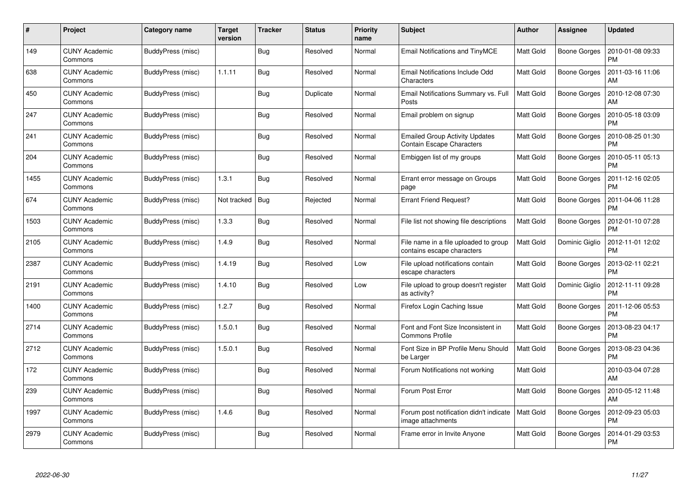| #    | Project                         | Category name     | <b>Target</b><br>version | <b>Tracker</b> | <b>Status</b> | <b>Priority</b><br>name | <b>Subject</b>                                                            | <b>Author</b>    | <b>Assignee</b>     | <b>Updated</b>                |
|------|---------------------------------|-------------------|--------------------------|----------------|---------------|-------------------------|---------------------------------------------------------------------------|------------------|---------------------|-------------------------------|
| 149  | <b>CUNY Academic</b><br>Commons | BuddyPress (misc) |                          | Bug            | Resolved      | Normal                  | Email Notifications and TinyMCE                                           | <b>Matt Gold</b> | <b>Boone Gorges</b> | 2010-01-08 09:33<br><b>PM</b> |
| 638  | CUNY Academic<br>Commons        | BuddyPress (misc) | 1.1.11                   | Bug            | Resolved      | Normal                  | Email Notifications Include Odd<br>Characters                             | Matt Gold        | Boone Gorges        | 2011-03-16 11:06<br>AM        |
| 450  | <b>CUNY Academic</b><br>Commons | BuddyPress (misc) |                          | Bug            | Duplicate     | Normal                  | Email Notifications Summary vs. Full<br>Posts                             | <b>Matt Gold</b> | <b>Boone Gorges</b> | 2010-12-08 07:30<br>AM        |
| 247  | <b>CUNY Academic</b><br>Commons | BuddyPress (misc) |                          | Bug            | Resolved      | Normal                  | Email problem on signup                                                   | Matt Gold        | Boone Gorges        | 2010-05-18 03:09<br><b>PM</b> |
| 241  | <b>CUNY Academic</b><br>Commons | BuddyPress (misc) |                          | Bug            | Resolved      | Normal                  | <b>Emailed Group Activity Updates</b><br><b>Contain Escape Characters</b> | <b>Matt Gold</b> | Boone Gorges        | 2010-08-25 01:30<br><b>PM</b> |
| 204  | <b>CUNY Academic</b><br>Commons | BuddyPress (misc) |                          | Bug            | Resolved      | Normal                  | Embiggen list of my groups                                                | <b>Matt Gold</b> | Boone Gorges        | 2010-05-11 05:13<br><b>PM</b> |
| 1455 | <b>CUNY Academic</b><br>Commons | BuddyPress (misc) | 1.3.1                    | Bug            | Resolved      | Normal                  | Errant error message on Groups<br>page                                    | Matt Gold        | Boone Gorges        | 2011-12-16 02:05<br><b>PM</b> |
| 674  | <b>CUNY Academic</b><br>Commons | BuddyPress (misc) | Not tracked              | <b>Bug</b>     | Rejected      | Normal                  | <b>Errant Friend Request?</b>                                             | Matt Gold        | <b>Boone Gorges</b> | 2011-04-06 11:28<br><b>PM</b> |
| 1503 | <b>CUNY Academic</b><br>Commons | BuddyPress (misc) | 1.3.3                    | Bug            | Resolved      | Normal                  | File list not showing file descriptions                                   | <b>Matt Gold</b> | Boone Gorges        | 2012-01-10 07:28<br><b>PM</b> |
| 2105 | <b>CUNY Academic</b><br>Commons | BuddyPress (misc) | 1.4.9                    | Bug            | Resolved      | Normal                  | File name in a file uploaded to group<br>contains escape characters       | Matt Gold        | Dominic Giglio      | 2012-11-01 12:02<br><b>PM</b> |
| 2387 | <b>CUNY Academic</b><br>Commons | BuddyPress (misc) | 1.4.19                   | <b>Bug</b>     | Resolved      | Low                     | File upload notifications contain<br>escape characters                    | Matt Gold        | Boone Gorges        | 2013-02-11 02:21<br><b>PM</b> |
| 2191 | <b>CUNY Academic</b><br>Commons | BuddyPress (misc) | 1.4.10                   | Bug            | Resolved      | Low                     | File upload to group doesn't register<br>as activity?                     | <b>Matt Gold</b> | Dominic Giglio      | 2012-11-11 09:28<br><b>PM</b> |
| 1400 | <b>CUNY Academic</b><br>Commons | BuddyPress (misc) | 1.2.7                    | Bug            | Resolved      | Normal                  | Firefox Login Caching Issue                                               | Matt Gold        | Boone Gorges        | 2011-12-06 05:53<br><b>PM</b> |
| 2714 | <b>CUNY Academic</b><br>Commons | BuddyPress (misc) | 1.5.0.1                  | Bug            | Resolved      | Normal                  | Font and Font Size Inconsistent in<br><b>Commons Profile</b>              | Matt Gold        | Boone Gorges        | 2013-08-23 04:17<br><b>PM</b> |
| 2712 | <b>CUNY Academic</b><br>Commons | BuddyPress (misc) | 1.5.0.1                  | <b>Bug</b>     | Resolved      | Normal                  | Font Size in BP Profile Menu Should<br>be Larger                          | <b>Matt Gold</b> | Boone Gorges        | 2013-08-23 04:36<br><b>PM</b> |
| 172  | <b>CUNY Academic</b><br>Commons | BuddyPress (misc) |                          | Bug            | Resolved      | Normal                  | Forum Notifications not working                                           | <b>Matt Gold</b> |                     | 2010-03-04 07:28<br>AM        |
| 239  | <b>CUNY Academic</b><br>Commons | BuddyPress (misc) |                          | <b>Bug</b>     | Resolved      | Normal                  | Forum Post Error                                                          | <b>Matt Gold</b> | Boone Gorges        | 2010-05-12 11:48<br>AM        |
| 1997 | <b>CUNY Academic</b><br>Commons | BuddyPress (misc) | 1.4.6                    | <b>Bug</b>     | Resolved      | Normal                  | Forum post notification didn't indicate<br>image attachments              | <b>Matt Gold</b> | Boone Gorges        | 2012-09-23 05:03<br><b>PM</b> |
| 2979 | CUNY Academic<br>Commons        | BuddyPress (misc) |                          | Bug            | Resolved      | Normal                  | Frame error in Invite Anyone                                              | <b>Matt Gold</b> | Boone Gorges        | 2014-01-29 03:53<br><b>PM</b> |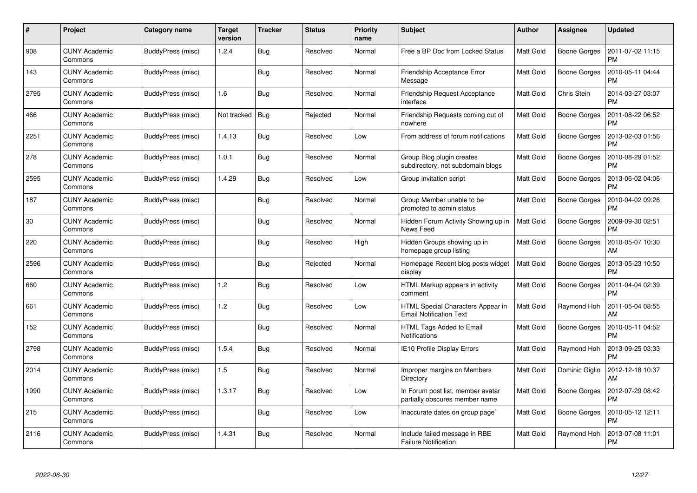| #    | Project                         | Category name     | <b>Target</b><br>version | <b>Tracker</b> | <b>Status</b> | <b>Priority</b><br>name | <b>Subject</b>                                                      | Author           | Assignee            | <b>Updated</b>                |
|------|---------------------------------|-------------------|--------------------------|----------------|---------------|-------------------------|---------------------------------------------------------------------|------------------|---------------------|-------------------------------|
| 908  | <b>CUNY Academic</b><br>Commons | BuddyPress (misc) | 1.2.4                    | Bug            | Resolved      | Normal                  | Free a BP Doc from Locked Status                                    | <b>Matt Gold</b> | <b>Boone Gorges</b> | 2011-07-02 11:15<br><b>PM</b> |
| 143  | <b>CUNY Academic</b><br>Commons | BuddyPress (misc) |                          | <b>Bug</b>     | Resolved      | Normal                  | Friendship Acceptance Error<br>Message                              | <b>Matt Gold</b> | Boone Gorges        | 2010-05-11 04:44<br>PM        |
| 2795 | <b>CUNY Academic</b><br>Commons | BuddyPress (misc) | 1.6                      | Bug            | Resolved      | Normal                  | <b>Friendship Request Acceptance</b><br>interface                   | <b>Matt Gold</b> | Chris Stein         | 2014-03-27 03:07<br><b>PM</b> |
| 466  | <b>CUNY Academic</b><br>Commons | BuddyPress (misc) | Not tracked              | Bug            | Rejected      | Normal                  | Friendship Requests coming out of<br>nowhere                        | Matt Gold        | Boone Gorges        | 2011-08-22 06:52<br><b>PM</b> |
| 2251 | <b>CUNY Academic</b><br>Commons | BuddyPress (misc) | 1.4.13                   | Bug            | Resolved      | Low                     | From address of forum notifications                                 | <b>Matt Gold</b> | Boone Gorges        | 2013-02-03 01:56<br><b>PM</b> |
| 278  | <b>CUNY Academic</b><br>Commons | BuddyPress (misc) | 1.0.1                    | Bug            | Resolved      | Normal                  | Group Blog plugin creates<br>subdirectory, not subdomain blogs      | Matt Gold        | Boone Gorges        | 2010-08-29 01:52<br><b>PM</b> |
| 2595 | <b>CUNY Academic</b><br>Commons | BuddyPress (misc) | 1.4.29                   | Bug            | Resolved      | Low                     | Group invitation script                                             | <b>Matt Gold</b> | <b>Boone Gorges</b> | 2013-06-02 04:06<br><b>PM</b> |
| 187  | <b>CUNY Academic</b><br>Commons | BuddyPress (misc) |                          | Bug            | Resolved      | Normal                  | Group Member unable to be<br>promoted to admin status               | <b>Matt Gold</b> | Boone Gorges        | 2010-04-02 09:26<br><b>PM</b> |
| 30   | <b>CUNY Academic</b><br>Commons | BuddyPress (misc) |                          | Bug            | Resolved      | Normal                  | Hidden Forum Activity Showing up in<br>News Feed                    | <b>Matt Gold</b> | <b>Boone Gorges</b> | 2009-09-30 02:51<br><b>PM</b> |
| 220  | <b>CUNY Academic</b><br>Commons | BuddyPress (misc) |                          | Bug            | Resolved      | High                    | Hidden Groups showing up in<br>homepage group listing               | Matt Gold        | Boone Gorges        | 2010-05-07 10:30<br>AM        |
| 2596 | <b>CUNY Academic</b><br>Commons | BuddyPress (misc) |                          | <b>Bug</b>     | Rejected      | Normal                  | Homepage Recent blog posts widget<br>display                        | <b>Matt Gold</b> | Boone Gorges        | 2013-05-23 10:50<br><b>PM</b> |
| 660  | <b>CUNY Academic</b><br>Commons | BuddyPress (misc) | 1.2                      | <b>Bug</b>     | Resolved      | Low                     | HTML Markup appears in activity<br>comment                          | <b>Matt Gold</b> | Boone Gorges        | 2011-04-04 02:39<br>PM        |
| 661  | <b>CUNY Academic</b><br>Commons | BuddyPress (misc) | 1.2                      | Bug            | Resolved      | Low                     | HTML Special Characters Appear in<br><b>Email Notification Text</b> | <b>Matt Gold</b> | Raymond Hoh         | 2011-05-04 08:55<br>AM        |
| 152  | <b>CUNY Academic</b><br>Commons | BuddyPress (misc) |                          | <b>Bug</b>     | Resolved      | Normal                  | HTML Tags Added to Email<br><b>Notifications</b>                    | <b>Matt Gold</b> | Boone Gorges        | 2010-05-11 04:52<br><b>PM</b> |
| 2798 | <b>CUNY Academic</b><br>Commons | BuddyPress (misc) | 1.5.4                    | <b>Bug</b>     | Resolved      | Normal                  | IE10 Profile Display Errors                                         | <b>Matt Gold</b> | Raymond Hoh         | 2013-09-25 03:33<br><b>PM</b> |
| 2014 | <b>CUNY Academic</b><br>Commons | BuddyPress (misc) | 1.5                      | Bug            | Resolved      | Normal                  | Improper margins on Members<br>Directory                            | <b>Matt Gold</b> | Dominic Giglio      | 2012-12-18 10:37<br>AM        |
| 1990 | <b>CUNY Academic</b><br>Commons | BuddyPress (misc) | 1.3.17                   | Bug            | Resolved      | Low                     | In Forum post list, member avatar<br>partially obscures member name | Matt Gold        | Boone Gorges        | 2012-07-29 08:42<br><b>PM</b> |
| 215  | <b>CUNY Academic</b><br>Commons | BuddyPress (misc) |                          | Bug            | Resolved      | Low                     | Inaccurate dates on group page`                                     | Matt Gold        | <b>Boone Gorges</b> | 2010-05-12 12:11<br><b>PM</b> |
| 2116 | CUNY Academic<br>Commons        | BuddyPress (misc) | 1.4.31                   | Bug            | Resolved      | Normal                  | Include failed message in RBE<br><b>Failure Notification</b>        | <b>Matt Gold</b> | Raymond Hoh         | 2013-07-08 11:01<br>PM        |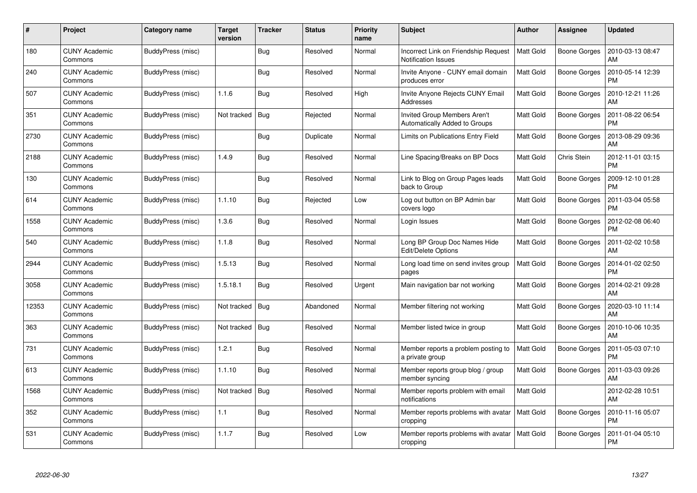| #     | Project                         | Category name     | <b>Target</b><br>version | <b>Tracker</b> | <b>Status</b> | <b>Priority</b><br>name | <b>Subject</b>                                                     | <b>Author</b>    | <b>Assignee</b>     | <b>Updated</b>                |
|-------|---------------------------------|-------------------|--------------------------|----------------|---------------|-------------------------|--------------------------------------------------------------------|------------------|---------------------|-------------------------------|
| 180   | <b>CUNY Academic</b><br>Commons | BuddyPress (misc) |                          | Bug            | Resolved      | Normal                  | Incorrect Link on Friendship Request<br><b>Notification Issues</b> | <b>Matt Gold</b> | <b>Boone Gorges</b> | 2010-03-13 08:47<br>AM        |
| 240   | <b>CUNY Academic</b><br>Commons | BuddyPress (misc) |                          | Bug            | Resolved      | Normal                  | Invite Anyone - CUNY email domain<br>produces error                | <b>Matt Gold</b> | Boone Gorges        | 2010-05-14 12:39<br><b>PM</b> |
| 507   | <b>CUNY Academic</b><br>Commons | BuddyPress (misc) | 1.1.6                    | <b>Bug</b>     | Resolved      | High                    | Invite Anyone Rejects CUNY Email<br>Addresses                      | <b>Matt Gold</b> | <b>Boone Gorges</b> | 2010-12-21 11:26<br>AM        |
| 351   | <b>CUNY Academic</b><br>Commons | BuddyPress (misc) | Not tracked              | <b>Bug</b>     | Rejected      | Normal                  | Invited Group Members Aren't<br>Automatically Added to Groups      | <b>Matt Gold</b> | Boone Gorges        | 2011-08-22 06:54<br><b>PM</b> |
| 2730  | <b>CUNY Academic</b><br>Commons | BuddyPress (misc) |                          | Bug            | Duplicate     | Normal                  | Limits on Publications Entry Field                                 | <b>Matt Gold</b> | Boone Gorges        | 2013-08-29 09:36<br>AM        |
| 2188  | <b>CUNY Academic</b><br>Commons | BuddyPress (misc) | 1.4.9                    | Bug            | Resolved      | Normal                  | Line Spacing/Breaks on BP Docs                                     | <b>Matt Gold</b> | Chris Stein         | 2012-11-01 03:15<br><b>PM</b> |
| 130   | <b>CUNY Academic</b><br>Commons | BuddyPress (misc) |                          | Bug            | Resolved      | Normal                  | Link to Blog on Group Pages leads<br>back to Group                 | <b>Matt Gold</b> | Boone Gorges        | 2009-12-10 01:28<br><b>PM</b> |
| 614   | <b>CUNY Academic</b><br>Commons | BuddyPress (misc) | 1.1.10                   | Bug            | Rejected      | Low                     | Log out button on BP Admin bar<br>covers logo                      | <b>Matt Gold</b> | Boone Gorges        | 2011-03-04 05:58<br><b>PM</b> |
| 1558  | <b>CUNY Academic</b><br>Commons | BuddyPress (misc) | 1.3.6                    | <b>Bug</b>     | Resolved      | Normal                  | Login Issues                                                       | <b>Matt Gold</b> | Boone Gorges        | 2012-02-08 06:40<br><b>PM</b> |
| 540   | <b>CUNY Academic</b><br>Commons | BuddyPress (misc) | 1.1.8                    | <b>Bug</b>     | Resolved      | Normal                  | Long BP Group Doc Names Hide<br><b>Edit/Delete Options</b>         | <b>Matt Gold</b> | <b>Boone Gorges</b> | 2011-02-02 10:58<br>AM        |
| 2944  | CUNY Academic<br>Commons        | BuddyPress (misc) | 1.5.13                   | Bug            | Resolved      | Normal                  | Long load time on send invites group<br>pages                      | Matt Gold        | Boone Gorges        | 2014-01-02 02:50<br><b>PM</b> |
| 3058  | <b>CUNY Academic</b><br>Commons | BuddyPress (misc) | 1.5.18.1                 | <b>Bug</b>     | Resolved      | Urgent                  | Main navigation bar not working                                    | Matt Gold        | Boone Gorges        | 2014-02-21 09:28<br>AM        |
| 12353 | <b>CUNY Academic</b><br>Commons | BuddyPress (misc) | Not tracked              | <b>Bug</b>     | Abandoned     | Normal                  | Member filtering not working                                       | <b>Matt Gold</b> | Boone Gorges        | 2020-03-10 11:14<br>АM        |
| 363   | <b>CUNY Academic</b><br>Commons | BuddyPress (misc) | Not tracked              | Bug            | Resolved      | Normal                  | Member listed twice in group                                       | <b>Matt Gold</b> | <b>Boone Gorges</b> | 2010-10-06 10:35<br>AM        |
| 731   | <b>CUNY Academic</b><br>Commons | BuddyPress (misc) | 1.2.1                    | <b>Bug</b>     | Resolved      | Normal                  | Member reports a problem posting to<br>a private group             | <b>Matt Gold</b> | Boone Gorges        | 2011-05-03 07:10<br><b>PM</b> |
| 613   | <b>CUNY Academic</b><br>Commons | BuddyPress (misc) | 1.1.10                   | <b>Bug</b>     | Resolved      | Normal                  | Member reports group blog / group<br>member syncing                | <b>Matt Gold</b> | Boone Gorges        | 2011-03-03 09:26<br>AM        |
| 1568  | <b>CUNY Academic</b><br>Commons | BuddyPress (misc) | Not tracked              | Bug            | Resolved      | Normal                  | Member reports problem with email<br>notifications                 | <b>Matt Gold</b> |                     | 2012-02-28 10:51<br>AM        |
| 352   | <b>CUNY Academic</b><br>Commons | BuddyPress (misc) | 1.1                      | Bug            | Resolved      | Normal                  | Member reports problems with avatar<br>cropping                    | Matt Gold        | <b>Boone Gorges</b> | 2010-11-16 05:07<br><b>PM</b> |
| 531   | CUNY Academic<br>Commons        | BuddyPress (misc) | 1.1.7                    | <b>Bug</b>     | Resolved      | Low                     | Member reports problems with avatar<br>cropping                    | <b>Matt Gold</b> | Boone Gorges        | 2011-01-04 05:10<br>PM        |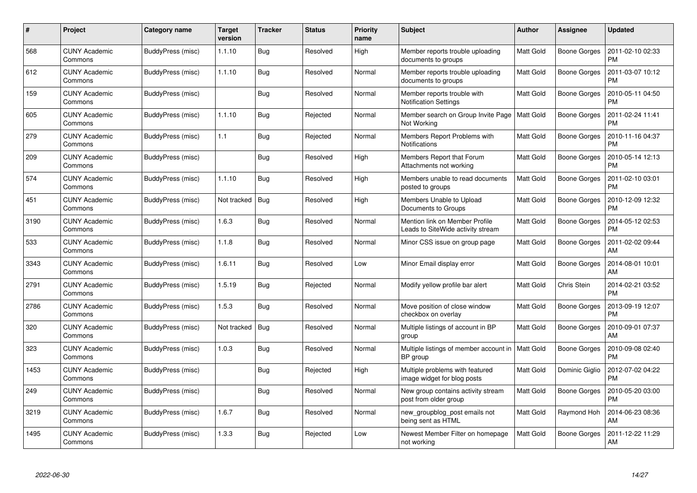| #    | Project                         | Category name     | <b>Target</b><br>version | <b>Tracker</b> | <b>Status</b> | <b>Priority</b><br>name | <b>Subject</b>                                                      | <b>Author</b>    | <b>Assignee</b>     | <b>Updated</b>                |
|------|---------------------------------|-------------------|--------------------------|----------------|---------------|-------------------------|---------------------------------------------------------------------|------------------|---------------------|-------------------------------|
| 568  | <b>CUNY Academic</b><br>Commons | BuddyPress (misc) | 1.1.10                   | Bug            | Resolved      | High                    | Member reports trouble uploading<br>documents to groups             | <b>Matt Gold</b> | <b>Boone Gorges</b> | 2011-02-10 02:33<br><b>PM</b> |
| 612  | <b>CUNY Academic</b><br>Commons | BuddyPress (misc) | 1.1.10                   | Bug            | Resolved      | Normal                  | Member reports trouble uploading<br>documents to groups             | <b>Matt Gold</b> | Boone Gorges        | 2011-03-07 10:12<br><b>PM</b> |
| 159  | <b>CUNY Academic</b><br>Commons | BuddyPress (misc) |                          | Bug            | Resolved      | Normal                  | Member reports trouble with<br><b>Notification Settings</b>         | Matt Gold        | Boone Gorges        | 2010-05-11 04:50<br><b>PM</b> |
| 605  | <b>CUNY Academic</b><br>Commons | BuddyPress (misc) | 1.1.10                   | Bug            | Rejected      | Normal                  | Member search on Group Invite Page<br>Not Working                   | <b>Matt Gold</b> | Boone Gorges        | 2011-02-24 11:41<br><b>PM</b> |
| 279  | <b>CUNY Academic</b><br>Commons | BuddyPress (misc) | 1.1                      | <b>Bug</b>     | Rejected      | Normal                  | Members Report Problems with<br><b>Notifications</b>                | <b>Matt Gold</b> | <b>Boone Gorges</b> | 2010-11-16 04:37<br><b>PM</b> |
| 209  | <b>CUNY Academic</b><br>Commons | BuddyPress (misc) |                          | Bug            | Resolved      | High                    | Members Report that Forum<br>Attachments not working                | <b>Matt Gold</b> | <b>Boone Gorges</b> | 2010-05-14 12:13<br><b>PM</b> |
| 574  | <b>CUNY Academic</b><br>Commons | BuddyPress (misc) | 1.1.10                   | Bug            | Resolved      | High                    | Members unable to read documents<br>posted to groups                | <b>Matt Gold</b> | <b>Boone Gorges</b> | 2011-02-10 03:01<br><b>PM</b> |
| 451  | <b>CUNY Academic</b><br>Commons | BuddyPress (misc) | Not tracked              | Bug            | Resolved      | High                    | Members Unable to Upload<br>Documents to Groups                     | <b>Matt Gold</b> | Boone Gorges        | 2010-12-09 12:32<br><b>PM</b> |
| 3190 | <b>CUNY Academic</b><br>Commons | BuddyPress (misc) | 1.6.3                    | <b>Bug</b>     | Resolved      | Normal                  | Mention link on Member Profile<br>Leads to SiteWide activity stream | <b>Matt Gold</b> | <b>Boone Gorges</b> | 2014-05-12 02:53<br><b>PM</b> |
| 533  | <b>CUNY Academic</b><br>Commons | BuddyPress (misc) | 1.1.8                    | Bug            | Resolved      | Normal                  | Minor CSS issue on group page                                       | <b>Matt Gold</b> | Boone Gorges        | 2011-02-02 09:44<br>AM        |
| 3343 | <b>CUNY Academic</b><br>Commons | BuddyPress (misc) | 1.6.11                   | Bug            | Resolved      | Low                     | Minor Email display error                                           | <b>Matt Gold</b> | <b>Boone Gorges</b> | 2014-08-01 10:01<br>AM        |
| 2791 | <b>CUNY Academic</b><br>Commons | BuddyPress (misc) | 1.5.19                   | Bug            | Rejected      | Normal                  | Modify yellow profile bar alert                                     | <b>Matt Gold</b> | Chris Stein         | 2014-02-21 03:52<br><b>PM</b> |
| 2786 | <b>CUNY Academic</b><br>Commons | BuddyPress (misc) | 1.5.3                    | Bug            | Resolved      | Normal                  | Move position of close window<br>checkbox on overlay                | <b>Matt Gold</b> | Boone Gorges        | 2013-09-19 12:07<br><b>PM</b> |
| 320  | <b>CUNY Academic</b><br>Commons | BuddyPress (misc) | Not tracked              | <b>Bug</b>     | Resolved      | Normal                  | Multiple listings of account in BP<br>group                         | <b>Matt Gold</b> | Boone Gorges        | 2010-09-01 07:37<br>AM        |
| 323  | <b>CUNY Academic</b><br>Commons | BuddyPress (misc) | 1.0.3                    | <b>Bug</b>     | Resolved      | Normal                  | Multiple listings of member account in<br>BP group                  | Matt Gold        | <b>Boone Gorges</b> | 2010-09-08 02:40<br><b>PM</b> |
| 1453 | <b>CUNY Academic</b><br>Commons | BuddyPress (misc) |                          | Bug            | Rejected      | High                    | Multiple problems with featured<br>image widget for blog posts      | <b>Matt Gold</b> | Dominic Giglio      | 2012-07-02 04:22<br><b>PM</b> |
| 249  | <b>CUNY Academic</b><br>Commons | BuddyPress (misc) |                          | <b>Bug</b>     | Resolved      | Normal                  | New group contains activity stream<br>post from older group         | <b>Matt Gold</b> | <b>Boone Gorges</b> | 2010-05-20 03:00<br><b>PM</b> |
| 3219 | <b>CUNY Academic</b><br>Commons | BuddyPress (misc) | 1.6.7                    | Bug            | Resolved      | Normal                  | new groupblog post emails not<br>being sent as HTML                 | Matt Gold        | Raymond Hoh         | 2014-06-23 08:36<br>AM        |
| 1495 | <b>CUNY Academic</b><br>Commons | BuddyPress (misc) | 1.3.3                    | Bug            | Rejected      | Low                     | Newest Member Filter on homepage<br>not working                     | <b>Matt Gold</b> | Boone Gorges        | 2011-12-22 11:29<br>AM        |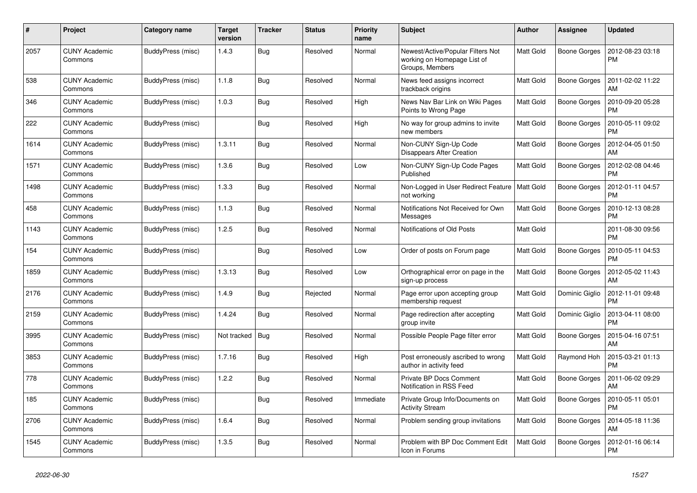| #    | Project                         | Category name     | <b>Target</b><br>version | <b>Tracker</b> | <b>Status</b> | <b>Priority</b><br>name | <b>Subject</b>                                                                      | Author           | <b>Assignee</b>     | <b>Updated</b>                |
|------|---------------------------------|-------------------|--------------------------|----------------|---------------|-------------------------|-------------------------------------------------------------------------------------|------------------|---------------------|-------------------------------|
| 2057 | <b>CUNY Academic</b><br>Commons | BuddyPress (misc) | 1.4.3                    | <b>Bug</b>     | Resolved      | Normal                  | Newest/Active/Popular Filters Not<br>working on Homepage List of<br>Groups, Members | <b>Matt Gold</b> | <b>Boone Gorges</b> | 2012-08-23 03:18<br><b>PM</b> |
| 538  | <b>CUNY Academic</b><br>Commons | BuddyPress (misc) | 1.1.8                    | Bug            | Resolved      | Normal                  | News feed assigns incorrect<br>trackback origins                                    | <b>Matt Gold</b> | <b>Boone Gorges</b> | 2011-02-02 11:22<br>AM        |
| 346  | <b>CUNY Academic</b><br>Commons | BuddyPress (misc) | 1.0.3                    | <b>Bug</b>     | Resolved      | High                    | News Nav Bar Link on Wiki Pages<br>Points to Wrong Page                             | Matt Gold        | Boone Gorges        | 2010-09-20 05:28<br><b>PM</b> |
| 222  | <b>CUNY Academic</b><br>Commons | BuddyPress (misc) |                          | <b>Bug</b>     | Resolved      | High                    | No way for group admins to invite<br>new members                                    | <b>Matt Gold</b> | <b>Boone Gorges</b> | 2010-05-11 09:02<br><b>PM</b> |
| 1614 | <b>CUNY Academic</b><br>Commons | BuddyPress (misc) | 1.3.11                   | <b>Bug</b>     | Resolved      | Normal                  | Non-CUNY Sign-Up Code<br><b>Disappears After Creation</b>                           | Matt Gold        | <b>Boone Gorges</b> | 2012-04-05 01:50<br>AM        |
| 1571 | <b>CUNY Academic</b><br>Commons | BuddyPress (misc) | 1.3.6                    | <b>Bug</b>     | Resolved      | Low                     | Non-CUNY Sign-Up Code Pages<br>Published                                            | <b>Matt Gold</b> | <b>Boone Gorges</b> | 2012-02-08 04:46<br><b>PM</b> |
| 1498 | <b>CUNY Academic</b><br>Commons | BuddyPress (misc) | 1.3.3                    | Bug            | Resolved      | Normal                  | Non-Logged in User Redirect Feature<br>not working                                  | <b>Matt Gold</b> | <b>Boone Gorges</b> | 2012-01-11 04:57<br><b>PM</b> |
| 458  | CUNY Academic<br>Commons        | BuddyPress (misc) | 1.1.3                    | <b>Bug</b>     | Resolved      | Normal                  | Notifications Not Received for Own<br>Messages                                      | Matt Gold        | <b>Boone Gorges</b> | 2010-12-13 08:28<br><b>PM</b> |
| 1143 | <b>CUNY Academic</b><br>Commons | BuddyPress (misc) | 1.2.5                    | Bug            | Resolved      | Normal                  | Notifications of Old Posts                                                          | Matt Gold        |                     | 2011-08-30 09:56<br><b>PM</b> |
| 154  | <b>CUNY Academic</b><br>Commons | BuddyPress (misc) |                          | <b>Bug</b>     | Resolved      | Low                     | Order of posts on Forum page                                                        | Matt Gold        | <b>Boone Gorges</b> | 2010-05-11 04:53<br><b>PM</b> |
| 1859 | <b>CUNY Academic</b><br>Commons | BuddyPress (misc) | 1.3.13                   | <b>Bug</b>     | Resolved      | Low                     | Orthographical error on page in the<br>sign-up process                              | Matt Gold        | <b>Boone Gorges</b> | 2012-05-02 11:43<br>AM        |
| 2176 | <b>CUNY Academic</b><br>Commons | BuddyPress (misc) | 1.4.9                    | Bug            | Rejected      | Normal                  | Page error upon accepting group<br>membership request                               | <b>Matt Gold</b> | Dominic Giglio      | 2012-11-01 09:48<br><b>PM</b> |
| 2159 | <b>CUNY Academic</b><br>Commons | BuddyPress (misc) | 1.4.24                   | Bug            | Resolved      | Normal                  | Page redirection after accepting<br>group invite                                    | <b>Matt Gold</b> | Dominic Giglio      | 2013-04-11 08:00<br><b>PM</b> |
| 3995 | CUNY Academic<br>Commons        | BuddyPress (misc) | Not tracked              | Bug            | Resolved      | Normal                  | Possible People Page filter error                                                   | Matt Gold        | <b>Boone Gorges</b> | 2015-04-16 07:51<br>AM        |
| 3853 | <b>CUNY Academic</b><br>Commons | BuddyPress (misc) | 1.7.16                   | <b>Bug</b>     | Resolved      | High                    | Post erroneously ascribed to wrong<br>author in activity feed                       | <b>Matt Gold</b> | Raymond Hoh         | 2015-03-21 01:13<br><b>PM</b> |
| 778  | <b>CUNY Academic</b><br>Commons | BuddyPress (misc) | 1.2.2                    | Bug            | Resolved      | Normal                  | Private BP Docs Comment<br>Notification in RSS Feed                                 | <b>Matt Gold</b> | <b>Boone Gorges</b> | 2011-06-02 09:29<br>AM        |
| 185  | <b>CUNY Academic</b><br>Commons | BuddyPress (misc) |                          | <b>Bug</b>     | Resolved      | Immediate               | Private Group Info/Documents on<br><b>Activity Stream</b>                           | <b>Matt Gold</b> | <b>Boone Gorges</b> | 2010-05-11 05:01<br><b>PM</b> |
| 2706 | <b>CUNY Academic</b><br>Commons | BuddyPress (misc) | 1.6.4                    | <b>Bug</b>     | Resolved      | Normal                  | Problem sending group invitations                                                   | <b>Matt Gold</b> | <b>Boone Gorges</b> | 2014-05-18 11:36<br>AM        |
| 1545 | <b>CUNY Academic</b><br>Commons | BuddyPress (misc) | 1.3.5                    | Bug            | Resolved      | Normal                  | Problem with BP Doc Comment Edit<br>Icon in Forums                                  | Matt Gold        | <b>Boone Gorges</b> | 2012-01-16 06:14<br><b>PM</b> |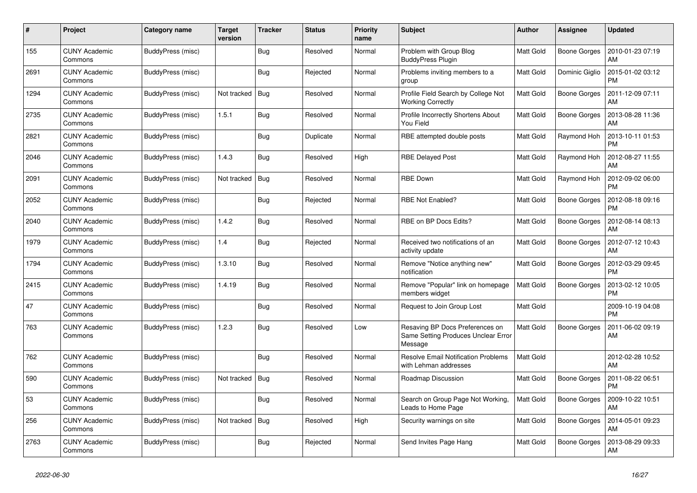| #    | Project                         | Category name     | <b>Target</b><br>version | <b>Tracker</b> | <b>Status</b> | <b>Priority</b><br>name | <b>Subject</b>                                                                    | <b>Author</b>    | Assignee            | <b>Updated</b>                |
|------|---------------------------------|-------------------|--------------------------|----------------|---------------|-------------------------|-----------------------------------------------------------------------------------|------------------|---------------------|-------------------------------|
| 155  | <b>CUNY Academic</b><br>Commons | BuddyPress (misc) |                          | Bug            | Resolved      | Normal                  | Problem with Group Blog<br><b>BuddyPress Plugin</b>                               | <b>Matt Gold</b> | <b>Boone Gorges</b> | 2010-01-23 07:19<br>AM        |
| 2691 | <b>CUNY Academic</b><br>Commons | BuddyPress (misc) |                          | Bug            | Rejected      | Normal                  | Problems inviting members to a<br>group                                           | <b>Matt Gold</b> | Dominic Giglio      | 2015-01-02 03:12<br><b>PM</b> |
| 1294 | <b>CUNY Academic</b><br>Commons | BuddyPress (misc) | Not tracked              | <b>Bug</b>     | Resolved      | Normal                  | Profile Field Search by College Not<br><b>Working Correctly</b>                   | <b>Matt Gold</b> | Boone Gorges        | 2011-12-09 07:11<br>AM        |
| 2735 | <b>CUNY Academic</b><br>Commons | BuddyPress (misc) | 1.5.1                    | Bug            | Resolved      | Normal                  | Profile Incorrectly Shortens About<br>You Field                                   | <b>Matt Gold</b> | Boone Gorges        | 2013-08-28 11:36<br>AM        |
| 2821 | <b>CUNY Academic</b><br>Commons | BuddyPress (misc) |                          | Bug            | Duplicate     | Normal                  | RBE attempted double posts                                                        | Matt Gold        | Raymond Hoh         | 2013-10-11 01:53<br>PM        |
| 2046 | <b>CUNY Academic</b><br>Commons | BuddyPress (misc) | 1.4.3                    | <b>Bug</b>     | Resolved      | High                    | <b>RBE Delayed Post</b>                                                           | <b>Matt Gold</b> | Raymond Hoh         | 2012-08-27 11:55<br>AM        |
| 2091 | <b>CUNY Academic</b><br>Commons | BuddyPress (misc) | Not tracked              | Bug            | Resolved      | Normal                  | <b>RBE Down</b>                                                                   | <b>Matt Gold</b> | Raymond Hoh         | 2012-09-02 06:00<br><b>PM</b> |
| 2052 | <b>CUNY Academic</b><br>Commons | BuddyPress (misc) |                          | Bug            | Rejected      | Normal                  | <b>RBE Not Enabled?</b>                                                           | <b>Matt Gold</b> | <b>Boone Gorges</b> | 2012-08-18 09:16<br><b>PM</b> |
| 2040 | <b>CUNY Academic</b><br>Commons | BuddyPress (misc) | 1.4.2                    | <b>Bug</b>     | Resolved      | Normal                  | RBE on BP Docs Edits?                                                             | <b>Matt Gold</b> | <b>Boone Gorges</b> | 2012-08-14 08:13<br>AM        |
| 1979 | <b>CUNY Academic</b><br>Commons | BuddyPress (misc) | 1.4                      | Bug            | Rejected      | Normal                  | Received two notifications of an<br>activity update                               | <b>Matt Gold</b> | Boone Gorges        | 2012-07-12 10:43<br>AM        |
| 1794 | <b>CUNY Academic</b><br>Commons | BuddyPress (misc) | 1.3.10                   | <b>Bug</b>     | Resolved      | Normal                  | Remove "Notice anything new"<br>notification                                      | <b>Matt Gold</b> | Boone Gorges        | 2012-03-29 09:45<br><b>PM</b> |
| 2415 | <b>CUNY Academic</b><br>Commons | BuddyPress (misc) | 1.4.19                   | Bug            | Resolved      | Normal                  | Remove "Popular" link on homepage<br>members widget                               | Matt Gold        | Boone Gorges        | 2013-02-12 10:05<br><b>PM</b> |
| 47   | <b>CUNY Academic</b><br>Commons | BuddyPress (misc) |                          | Bug            | Resolved      | Normal                  | Request to Join Group Lost                                                        | Matt Gold        |                     | 2009-10-19 04:08<br><b>PM</b> |
| 763  | <b>CUNY Academic</b><br>Commons | BuddyPress (misc) | 1.2.3                    | Bug            | Resolved      | Low                     | Resaving BP Docs Preferences on<br>Same Setting Produces Unclear Error<br>Message | <b>Matt Gold</b> | <b>Boone Gorges</b> | 2011-06-02 09:19<br>AM        |
| 762  | <b>CUNY Academic</b><br>Commons | BuddyPress (misc) |                          | <b>Bug</b>     | Resolved      | Normal                  | <b>Resolve Email Notification Problems</b><br>with Lehman addresses               | <b>Matt Gold</b> |                     | 2012-02-28 10:52<br>AM        |
| 590  | <b>CUNY Academic</b><br>Commons | BuddyPress (misc) | Not tracked              | Bug            | Resolved      | Normal                  | Roadmap Discussion                                                                | <b>Matt Gold</b> | <b>Boone Gorges</b> | 2011-08-22 06:51<br>PM        |
| 53   | <b>CUNY Academic</b><br>Commons | BuddyPress (misc) |                          | <b>Bug</b>     | Resolved      | Normal                  | Search on Group Page Not Working,<br>Leads to Home Page                           | <b>Matt Gold</b> | Boone Gorges        | 2009-10-22 10:51<br>AM        |
| 256  | <b>CUNY Academic</b><br>Commons | BuddyPress (misc) | Not tracked              | Bug            | Resolved      | High                    | Security warnings on site                                                         | <b>Matt Gold</b> | <b>Boone Gorges</b> | 2014-05-01 09:23<br>AM        |
| 2763 | <b>CUNY Academic</b><br>Commons | BuddyPress (misc) |                          | Bug            | Rejected      | Normal                  | Send Invites Page Hang                                                            | <b>Matt Gold</b> | <b>Boone Gorges</b> | 2013-08-29 09:33<br>AM        |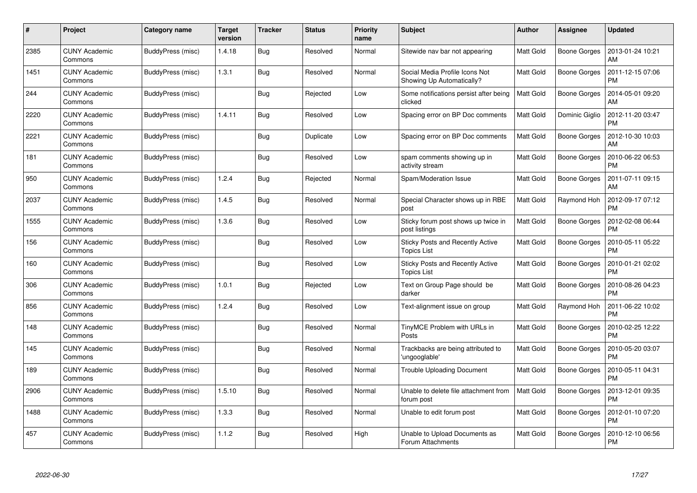| #    | Project                         | Category name     | <b>Target</b><br>version | <b>Tracker</b> | <b>Status</b> | <b>Priority</b><br>name | <b>Subject</b>                                                | <b>Author</b>    | <b>Assignee</b>     | <b>Updated</b>                |
|------|---------------------------------|-------------------|--------------------------|----------------|---------------|-------------------------|---------------------------------------------------------------|------------------|---------------------|-------------------------------|
| 2385 | <b>CUNY Academic</b><br>Commons | BuddyPress (misc) | 1.4.18                   | Bug            | Resolved      | Normal                  | Sitewide nav bar not appearing                                | <b>Matt Gold</b> | Boone Gorges        | 2013-01-24 10:21<br>AM        |
| 1451 | <b>CUNY Academic</b><br>Commons | BuddyPress (misc) | 1.3.1                    | Bug            | Resolved      | Normal                  | Social Media Profile Icons Not<br>Showing Up Automatically?   | <b>Matt Gold</b> | Boone Gorges        | 2011-12-15 07:06<br><b>PM</b> |
| 244  | <b>CUNY Academic</b><br>Commons | BuddyPress (misc) |                          | Bug            | Rejected      | Low                     | Some notifications persist after being<br>clicked             | <b>Matt Gold</b> | <b>Boone Gorges</b> | 2014-05-01 09:20<br>AM        |
| 2220 | <b>CUNY Academic</b><br>Commons | BuddyPress (misc) | 1.4.11                   | Bug            | Resolved      | Low                     | Spacing error on BP Doc comments                              | <b>Matt Gold</b> | Dominic Giglio      | 2012-11-20 03:47<br><b>PM</b> |
| 2221 | <b>CUNY Academic</b><br>Commons | BuddyPress (misc) |                          | <b>Bug</b>     | Duplicate     | Low                     | Spacing error on BP Doc comments                              | <b>Matt Gold</b> | <b>Boone Gorges</b> | 2012-10-30 10:03<br>AM        |
| 181  | <b>CUNY Academic</b><br>Commons | BuddyPress (misc) |                          | Bug            | Resolved      | Low                     | spam comments showing up in<br>activity stream                | <b>Matt Gold</b> | Boone Gorges        | 2010-06-22 06:53<br><b>PM</b> |
| 950  | <b>CUNY Academic</b><br>Commons | BuddyPress (misc) | 1.2.4                    | <b>Bug</b>     | Rejected      | Normal                  | Spam/Moderation Issue                                         | <b>Matt Gold</b> | <b>Boone Gorges</b> | 2011-07-11 09:15<br>AM        |
| 2037 | <b>CUNY Academic</b><br>Commons | BuddyPress (misc) | 1.4.5                    | Bug            | Resolved      | Normal                  | Special Character shows up in RBE<br>post                     | Matt Gold        | Raymond Hoh         | 2012-09-17 07:12<br><b>PM</b> |
| 1555 | <b>CUNY Academic</b><br>Commons | BuddyPress (misc) | 1.3.6                    | <b>Bug</b>     | Resolved      | Low                     | Sticky forum post shows up twice in<br>post listings          | <b>Matt Gold</b> | <b>Boone Gorges</b> | 2012-02-08 06:44<br><b>PM</b> |
| 156  | <b>CUNY Academic</b><br>Commons | BuddyPress (misc) |                          | Bug            | Resolved      | Low                     | Sticky Posts and Recently Active<br><b>Topics List</b>        | Matt Gold        | Boone Gorges        | 2010-05-11 05:22<br><b>PM</b> |
| 160  | <b>CUNY Academic</b><br>Commons | BuddyPress (misc) |                          | <b>Bug</b>     | Resolved      | Low                     | <b>Sticky Posts and Recently Active</b><br><b>Topics List</b> | Matt Gold        | <b>Boone Gorges</b> | 2010-01-21 02:02<br><b>PM</b> |
| 306  | CUNY Academic<br>Commons        | BuddyPress (misc) | 1.0.1                    | Bug            | Rejected      | Low                     | Text on Group Page should be<br>darker                        | <b>Matt Gold</b> | Boone Gorges        | 2010-08-26 04:23<br><b>PM</b> |
| 856  | <b>CUNY Academic</b><br>Commons | BuddyPress (misc) | 1.2.4                    | Bug            | Resolved      | Low                     | Text-alignment issue on group                                 | Matt Gold        | Raymond Hoh         | 2011-06-22 10:02<br><b>PM</b> |
| 148  | <b>CUNY Academic</b><br>Commons | BuddyPress (misc) |                          | <b>Bug</b>     | Resolved      | Normal                  | TinyMCE Problem with URLs in<br>Posts                         | Matt Gold        | <b>Boone Gorges</b> | 2010-02-25 12:22<br><b>PM</b> |
| 145  | <b>CUNY Academic</b><br>Commons | BuddyPress (misc) |                          | Bug            | Resolved      | Normal                  | Trackbacks are being attributed to<br>'ungooglable'           | <b>Matt Gold</b> | Boone Gorges        | 2010-05-20 03:07<br><b>PM</b> |
| 189  | <b>CUNY Academic</b><br>Commons | BuddyPress (misc) |                          | <b>Bug</b>     | Resolved      | Normal                  | <b>Trouble Uploading Document</b>                             | Matt Gold        | Boone Gorges        | 2010-05-11 04:31<br><b>PM</b> |
| 2906 | <b>CUNY Academic</b><br>Commons | BuddyPress (misc) | 1.5.10                   | Bug            | Resolved      | Normal                  | Unable to delete file attachment from<br>forum post           | <b>Matt Gold</b> | Boone Gorges        | 2013-12-01 09:35<br><b>PM</b> |
| 1488 | <b>CUNY Academic</b><br>Commons | BuddyPress (misc) | 1.3.3                    | Bug            | Resolved      | Normal                  | Unable to edit forum post                                     | <b>Matt Gold</b> | Boone Gorges        | 2012-01-10 07:20<br><b>PM</b> |
| 457  | <b>CUNY Academic</b><br>Commons | BuddyPress (misc) | 1.1.2                    | <b>Bug</b>     | Resolved      | High                    | Unable to Upload Documents as<br>Forum Attachments            | <b>Matt Gold</b> | Boone Gorges        | 2010-12-10 06:56<br>PM        |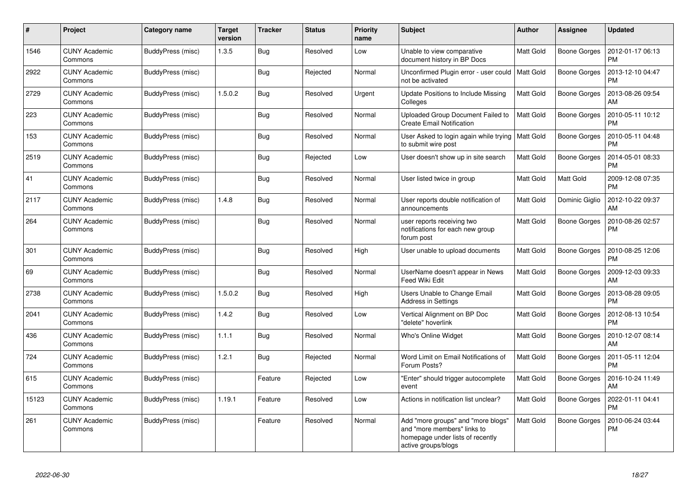| #     | Project                         | Category name     | <b>Target</b><br>version | <b>Tracker</b> | <b>Status</b> | <b>Priority</b><br>name | <b>Subject</b>                                                                                                               | Author           | <b>Assignee</b>     | <b>Updated</b>                |
|-------|---------------------------------|-------------------|--------------------------|----------------|---------------|-------------------------|------------------------------------------------------------------------------------------------------------------------------|------------------|---------------------|-------------------------------|
| 1546  | <b>CUNY Academic</b><br>Commons | BuddyPress (misc) | 1.3.5                    | Bug            | Resolved      | Low                     | Unable to view comparative<br>document history in BP Docs                                                                    | <b>Matt Gold</b> | <b>Boone Gorges</b> | 2012-01-17 06:13<br><b>PM</b> |
| 2922  | <b>CUNY Academic</b><br>Commons | BuddyPress (misc) |                          | Bug            | Rejected      | Normal                  | Unconfirmed Plugin error - user could<br>not be activated                                                                    | <b>Matt Gold</b> | <b>Boone Gorges</b> | 2013-12-10 04:47<br><b>PM</b> |
| 2729  | <b>CUNY Academic</b><br>Commons | BuddyPress (misc) | 1.5.0.2                  | <b>Bug</b>     | Resolved      | Urgent                  | Update Positions to Include Missing<br>Colleges                                                                              | Matt Gold        | <b>Boone Gorges</b> | 2013-08-26 09:54<br>AM        |
| 223   | <b>CUNY Academic</b><br>Commons | BuddyPress (misc) |                          | Bug            | Resolved      | Normal                  | Uploaded Group Document Failed to<br><b>Create Email Notification</b>                                                        | <b>Matt Gold</b> | Boone Gorges        | 2010-05-11 10:12<br><b>PM</b> |
| 153   | <b>CUNY Academic</b><br>Commons | BuddyPress (misc) |                          | Bug            | Resolved      | Normal                  | User Asked to login again while trying<br>to submit wire post                                                                | <b>Matt Gold</b> | <b>Boone Gorges</b> | 2010-05-11 04:48<br><b>PM</b> |
| 2519  | <b>CUNY Academic</b><br>Commons | BuddyPress (misc) |                          | Bug            | Rejected      | Low                     | User doesn't show up in site search                                                                                          | <b>Matt Gold</b> | <b>Boone Gorges</b> | 2014-05-01 08:33<br><b>PM</b> |
| 41    | <b>CUNY Academic</b><br>Commons | BuddyPress (misc) |                          | Bug            | Resolved      | Normal                  | User listed twice in group                                                                                                   | <b>Matt Gold</b> | Matt Gold           | 2009-12-08 07:35<br><b>PM</b> |
| 2117  | <b>CUNY Academic</b><br>Commons | BuddyPress (misc) | 1.4.8                    | <b>Bug</b>     | Resolved      | Normal                  | User reports double notification of<br>announcements                                                                         | <b>Matt Gold</b> | Dominic Giglio      | 2012-10-22 09:37<br>AM        |
| 264   | <b>CUNY Academic</b><br>Commons | BuddyPress (misc) |                          | <b>Bug</b>     | Resolved      | Normal                  | user reports receiving two<br>notifications for each new group<br>forum post                                                 | <b>Matt Gold</b> | <b>Boone Gorges</b> | 2010-08-26 02:57<br><b>PM</b> |
| 301   | <b>CUNY Academic</b><br>Commons | BuddyPress (misc) |                          | <b>Bug</b>     | Resolved      | High                    | User unable to upload documents                                                                                              | Matt Gold        | Boone Gorges        | 2010-08-25 12:06<br><b>PM</b> |
| 69    | <b>CUNY Academic</b><br>Commons | BuddyPress (misc) |                          | Bug            | Resolved      | Normal                  | UserName doesn't appear in News<br>Feed Wiki Edit                                                                            | <b>Matt Gold</b> | Boone Gorges        | 2009-12-03 09:33<br>AM        |
| 2738  | <b>CUNY Academic</b><br>Commons | BuddyPress (misc) | 1.5.0.2                  | Bug            | Resolved      | High                    | Users Unable to Change Email<br><b>Address in Settings</b>                                                                   | <b>Matt Gold</b> | Boone Gorges        | 2013-08-28 09:05<br><b>PM</b> |
| 2041  | <b>CUNY Academic</b><br>Commons | BuddyPress (misc) | 1.4.2                    | Bug            | Resolved      | Low                     | Vertical Alignment on BP Doc<br>"delete" hoverlink                                                                           | <b>Matt Gold</b> | <b>Boone Gorges</b> | 2012-08-13 10:54<br><b>PM</b> |
| 436   | <b>CUNY Academic</b><br>Commons | BuddyPress (misc) | 1.1.1                    | Bug            | Resolved      | Normal                  | Who's Online Widget                                                                                                          | Matt Gold        | Boone Gorges        | 2010-12-07 08:14<br>AM        |
| 724   | <b>CUNY Academic</b><br>Commons | BuddyPress (misc) | 1.2.1                    | Bug            | Rejected      | Normal                  | Word Limit on Email Notifications of<br>Forum Posts?                                                                         | <b>Matt Gold</b> | <b>Boone Gorges</b> | 2011-05-11 12:04<br><b>PM</b> |
| 615   | <b>CUNY Academic</b><br>Commons | BuddyPress (misc) |                          | Feature        | Rejected      | Low                     | "Enter" should trigger autocomplete<br>event                                                                                 | <b>Matt Gold</b> | Boone Gorges        | 2016-10-24 11:49<br>AM        |
| 15123 | <b>CUNY Academic</b><br>Commons | BuddyPress (misc) | 1.19.1                   | Feature        | Resolved      | Low                     | Actions in notification list unclear?                                                                                        | <b>Matt Gold</b> | Boone Gorges        | 2022-01-11 04:41<br>PM        |
| 261   | <b>CUNY Academic</b><br>Commons | BuddyPress (misc) |                          | Feature        | Resolved      | Normal                  | Add "more groups" and "more blogs"<br>and "more members" links to<br>homepage under lists of recently<br>active groups/blogs | Matt Gold        | Boone Gorges        | 2010-06-24 03:44<br><b>PM</b> |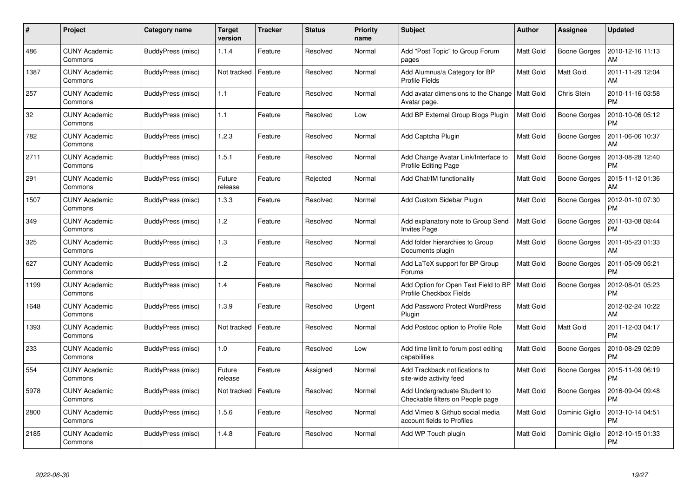| #    | Project                         | Category name     | <b>Target</b><br>version | <b>Tracker</b> | <b>Status</b> | <b>Priority</b><br>name | <b>Subject</b>                                                     | <b>Author</b>    | <b>Assignee</b>     | <b>Updated</b>                |
|------|---------------------------------|-------------------|--------------------------|----------------|---------------|-------------------------|--------------------------------------------------------------------|------------------|---------------------|-------------------------------|
| 486  | <b>CUNY Academic</b><br>Commons | BuddyPress (misc) | 1.1.4                    | Feature        | Resolved      | Normal                  | Add "Post Topic" to Group Forum<br>pages                           | <b>Matt Gold</b> | <b>Boone Gorges</b> | 2010-12-16 11:13<br>AM        |
| 1387 | <b>CUNY Academic</b><br>Commons | BuddyPress (misc) | Not tracked              | Feature        | Resolved      | Normal                  | Add Alumnus/a Category for BP<br><b>Profile Fields</b>             | Matt Gold        | Matt Gold           | 2011-11-29 12:04<br>AM        |
| 257  | <b>CUNY Academic</b><br>Commons | BuddyPress (misc) | 1.1                      | Feature        | Resolved      | Normal                  | Add avatar dimensions to the Change<br>Avatar page.                | Matt Gold        | Chris Stein         | 2010-11-16 03:58<br><b>PM</b> |
| 32   | <b>CUNY Academic</b><br>Commons | BuddyPress (misc) | 1.1                      | Feature        | Resolved      | Low                     | Add BP External Group Blogs Plugin                                 | Matt Gold        | Boone Gorges        | 2010-10-06 05:12<br><b>PM</b> |
| 782  | <b>CUNY Academic</b><br>Commons | BuddyPress (misc) | 1.2.3                    | Feature        | Resolved      | Normal                  | Add Captcha Plugin                                                 | <b>Matt Gold</b> | Boone Gorges        | 2011-06-06 10:37<br>AM        |
| 2711 | <b>CUNY Academic</b><br>Commons | BuddyPress (misc) | 1.5.1                    | Feature        | Resolved      | Normal                  | Add Change Avatar Link/Interface to<br><b>Profile Editing Page</b> | <b>Matt Gold</b> | Boone Gorges        | 2013-08-28 12:40<br><b>PM</b> |
| 291  | <b>CUNY Academic</b><br>Commons | BuddyPress (misc) | Future<br>release        | Feature        | Rejected      | Normal                  | Add Chat/IM functionality                                          | <b>Matt Gold</b> | Boone Gorges        | 2015-11-12 01:36<br>AM        |
| 1507 | <b>CUNY Academic</b><br>Commons | BuddyPress (misc) | 1.3.3                    | Feature        | Resolved      | Normal                  | Add Custom Sidebar Plugin                                          | <b>Matt Gold</b> | Boone Gorges        | 2012-01-10 07:30<br><b>PM</b> |
| 349  | <b>CUNY Academic</b><br>Commons | BuddyPress (misc) | 1.2                      | Feature        | Resolved      | Normal                  | Add explanatory note to Group Send<br><b>Invites Page</b>          | <b>Matt Gold</b> | <b>Boone Gorges</b> | 2011-03-08 08:44<br><b>PM</b> |
| 325  | <b>CUNY Academic</b><br>Commons | BuddyPress (misc) | 1.3                      | Feature        | Resolved      | Normal                  | Add folder hierarchies to Group<br>Documents plugin                | Matt Gold        | <b>Boone Gorges</b> | 2011-05-23 01:33<br>AM        |
| 627  | <b>CUNY Academic</b><br>Commons | BuddyPress (misc) | 1.2                      | Feature        | Resolved      | Normal                  | Add LaTeX support for BP Group<br>Forums                           | <b>Matt Gold</b> | Boone Gorges        | 2011-05-09 05:21<br><b>PM</b> |
| 1199 | <b>CUNY Academic</b><br>Commons | BuddyPress (misc) | 1.4                      | Feature        | Resolved      | Normal                  | Add Option for Open Text Field to BP<br>Profile Checkbox Fields    | <b>Matt Gold</b> | Boone Gorges        | 2012-08-01 05:23<br><b>PM</b> |
| 1648 | <b>CUNY Academic</b><br>Commons | BuddyPress (misc) | 1.3.9                    | Feature        | Resolved      | Urgent                  | <b>Add Password Protect WordPress</b><br>Plugin                    | Matt Gold        |                     | 2012-02-24 10:22<br>AM        |
| 1393 | <b>CUNY Academic</b><br>Commons | BuddyPress (misc) | Not tracked              | Feature        | Resolved      | Normal                  | Add Postdoc option to Profile Role                                 | <b>Matt Gold</b> | Matt Gold           | 2011-12-03 04:17<br><b>PM</b> |
| 233  | <b>CUNY Academic</b><br>Commons | BuddyPress (misc) | 1.0                      | Feature        | Resolved      | Low                     | Add time limit to forum post editing<br>capabilities               | Matt Gold        | Boone Gorges        | 2010-08-29 02:09<br><b>PM</b> |
| 554  | <b>CUNY Academic</b><br>Commons | BuddyPress (misc) | Future<br>release        | Feature        | Assigned      | Normal                  | Add Trackback notifications to<br>site-wide activity feed          | <b>Matt Gold</b> | Boone Gorges        | 2015-11-09 06:19<br><b>PM</b> |
| 5978 | <b>CUNY Academic</b><br>Commons | BuddyPress (misc) | Not tracked              | Feature        | Resolved      | Normal                  | Add Undergraduate Student to<br>Checkable filters on People page   | <b>Matt Gold</b> | Boone Gorges        | 2016-09-04 09:48<br><b>PM</b> |
| 2800 | <b>CUNY Academic</b><br>Commons | BuddyPress (misc) | 1.5.6                    | Feature        | Resolved      | Normal                  | Add Vimeo & Github social media<br>account fields to Profiles      | Matt Gold        | Dominic Giglio      | 2013-10-14 04:51<br><b>PM</b> |
| 2185 | CUNY Academic<br>Commons        | BuddyPress (misc) | 1.4.8                    | Feature        | Resolved      | Normal                  | Add WP Touch plugin                                                | <b>Matt Gold</b> | Dominic Giglio      | 2012-10-15 01:33<br>PM        |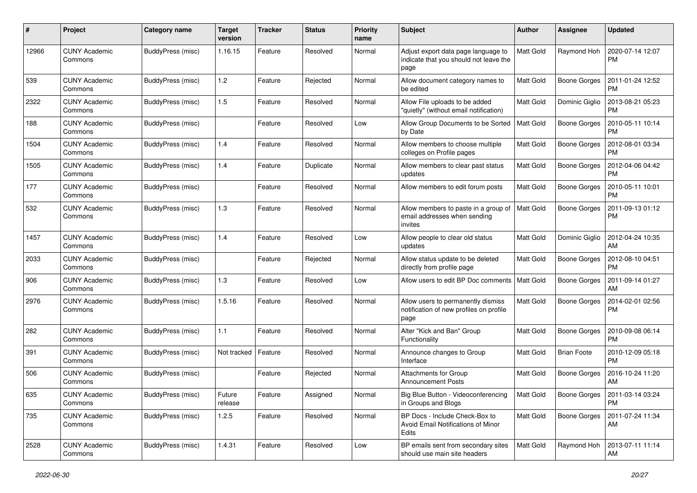| #     | Project                         | <b>Category name</b> | <b>Target</b><br>version | <b>Tracker</b> | <b>Status</b> | <b>Priority</b><br>name | <b>Subject</b>                                                                        | Author           | Assignee            | <b>Updated</b>                |
|-------|---------------------------------|----------------------|--------------------------|----------------|---------------|-------------------------|---------------------------------------------------------------------------------------|------------------|---------------------|-------------------------------|
| 12966 | <b>CUNY Academic</b><br>Commons | BuddyPress (misc)    | 1.16.15                  | Feature        | Resolved      | Normal                  | Adjust export data page language to<br>indicate that you should not leave the<br>page | <b>Matt Gold</b> | Raymond Hoh         | 2020-07-14 12:07<br><b>PM</b> |
| 539   | <b>CUNY Academic</b><br>Commons | BuddyPress (misc)    | 1.2                      | Feature        | Rejected      | Normal                  | Allow document category names to<br>be edited                                         | <b>Matt Gold</b> | <b>Boone Gorges</b> | 2011-01-24 12:52<br><b>PM</b> |
| 2322  | <b>CUNY Academic</b><br>Commons | BuddyPress (misc)    | 1.5                      | Feature        | Resolved      | Normal                  | Allow File uploads to be added<br>"quietly" (without email notification)              | <b>Matt Gold</b> | Dominic Giglio      | 2013-08-21 05:23<br><b>PM</b> |
| 188   | CUNY Academic<br>Commons        | BuddyPress (misc)    |                          | Feature        | Resolved      | Low                     | Allow Group Documents to be Sorted<br>by Date                                         | <b>Matt Gold</b> | <b>Boone Gorges</b> | 2010-05-11 10:14<br><b>PM</b> |
| 1504  | <b>CUNY Academic</b><br>Commons | BuddyPress (misc)    | 1.4                      | Feature        | Resolved      | Normal                  | Allow members to choose multiple<br>colleges on Profile pages                         | <b>Matt Gold</b> | <b>Boone Gorges</b> | 2012-08-01 03:34<br><b>PM</b> |
| 1505  | CUNY Academic<br>Commons        | BuddyPress (misc)    | 1.4                      | Feature        | Duplicate     | Normal                  | Allow members to clear past status<br>updates                                         | <b>Matt Gold</b> | <b>Boone Gorges</b> | 2012-04-06 04:42<br><b>PM</b> |
| 177   | <b>CUNY Academic</b><br>Commons | BuddyPress (misc)    |                          | Feature        | Resolved      | Normal                  | Allow members to edit forum posts                                                     | Matt Gold        | <b>Boone Gorges</b> | 2010-05-11 10:01<br><b>PM</b> |
| 532   | CUNY Academic<br>Commons        | BuddyPress (misc)    | 1.3                      | Feature        | Resolved      | Normal                  | Allow members to paste in a group of<br>email addresses when sending<br>invites       | <b>Matt Gold</b> | <b>Boone Gorges</b> | 2011-09-13 01:12<br><b>PM</b> |
| 1457  | CUNY Academic<br>Commons        | BuddyPress (misc)    | 1.4                      | Feature        | Resolved      | Low                     | Allow people to clear old status<br>updates                                           | <b>Matt Gold</b> | Dominic Giglio      | 2012-04-24 10:35<br>AM        |
| 2033  | <b>CUNY Academic</b><br>Commons | BuddyPress (misc)    |                          | Feature        | Rejected      | Normal                  | Allow status update to be deleted<br>directly from profile page                       | <b>Matt Gold</b> | <b>Boone Gorges</b> | 2012-08-10 04:51<br><b>PM</b> |
| 906   | <b>CUNY Academic</b><br>Commons | BuddyPress (misc)    | 1.3                      | Feature        | Resolved      | Low                     | Allow users to edit BP Doc comments                                                   | <b>Matt Gold</b> | <b>Boone Gorges</b> | 2011-09-14 01:27<br>AM        |
| 2976  | <b>CUNY Academic</b><br>Commons | BuddyPress (misc)    | 1.5.16                   | Feature        | Resolved      | Normal                  | Allow users to permanently dismiss<br>notification of new profiles on profile<br>page | <b>Matt Gold</b> | Boone Gorges        | 2014-02-01 02:56<br><b>PM</b> |
| 282   | <b>CUNY Academic</b><br>Commons | BuddyPress (misc)    | 1.1                      | Feature        | Resolved      | Normal                  | Alter "Kick and Ban" Group<br>Functionality                                           | Matt Gold        | <b>Boone Gorges</b> | 2010-09-08 06:14<br><b>PM</b> |
| 391   | CUNY Academic<br>Commons        | BuddyPress (misc)    | Not tracked              | Feature        | Resolved      | Normal                  | Announce changes to Group<br>Interface                                                | <b>Matt Gold</b> | <b>Brian Foote</b>  | 2010-12-09 05:18<br><b>PM</b> |
| 506   | <b>CUNY Academic</b><br>Commons | BuddyPress (misc)    |                          | Feature        | Rejected      | Normal                  | Attachments for Group<br><b>Announcement Posts</b>                                    | <b>Matt Gold</b> | <b>Boone Gorges</b> | 2016-10-24 11:20<br>AM        |
| 635   | <b>CUNY Academic</b><br>Commons | BuddyPress (misc)    | Future<br>release        | Feature        | Assigned      | Normal                  | Big Blue Button - Videoconferencing<br>in Groups and Blogs                            | <b>Matt Gold</b> | Boone Gorges        | 2011-03-14 03:24<br><b>PM</b> |
| 735   | <b>CUNY Academic</b><br>Commons | BuddyPress (misc)    | 1.2.5                    | Feature        | Resolved      | Normal                  | BP Docs - Include Check-Box to<br>Avoid Email Notifications of Minor<br>Edits         | Matt Gold        | Boone Gorges        | 2011-07-24 11:34<br>AM        |
| 2528  | <b>CUNY Academic</b><br>Commons | BuddyPress (misc)    | 1.4.31                   | Feature        | Resolved      | Low                     | BP emails sent from secondary sites<br>should use main site headers                   | Matt Gold        | Raymond Hoh         | 2013-07-11 11:14<br>AM        |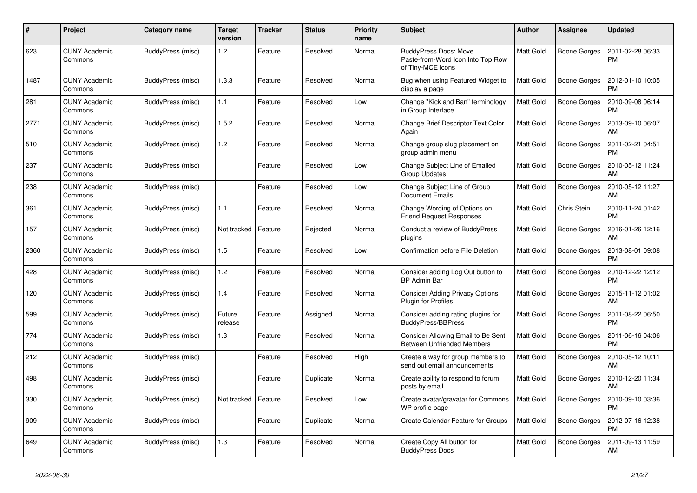| #    | Project                         | Category name     | Target<br>version | <b>Tracker</b> | <b>Status</b> | <b>Priority</b><br>name | <b>Subject</b>                                                                         | <b>Author</b>    | Assignee            | <b>Updated</b>                |
|------|---------------------------------|-------------------|-------------------|----------------|---------------|-------------------------|----------------------------------------------------------------------------------------|------------------|---------------------|-------------------------------|
| 623  | <b>CUNY Academic</b><br>Commons | BuddyPress (misc) | 1.2               | Feature        | Resolved      | Normal                  | <b>BuddyPress Docs: Move</b><br>Paste-from-Word Icon Into Top Row<br>of Tiny-MCE icons | <b>Matt Gold</b> | <b>Boone Gorges</b> | 2011-02-28 06:33<br><b>PM</b> |
| 1487 | <b>CUNY Academic</b><br>Commons | BuddyPress (misc) | 1.3.3             | Feature        | Resolved      | Normal                  | Bug when using Featured Widget to<br>display a page                                    | <b>Matt Gold</b> | <b>Boone Gorges</b> | 2012-01-10 10:05<br><b>PM</b> |
| 281  | <b>CUNY Academic</b><br>Commons | BuddyPress (misc) | 1.1               | Feature        | Resolved      | Low                     | Change "Kick and Ban" terminology<br>in Group Interface                                | <b>Matt Gold</b> | <b>Boone Gorges</b> | 2010-09-08 06:14<br><b>PM</b> |
| 2771 | <b>CUNY Academic</b><br>Commons | BuddyPress (misc) | 1.5.2             | Feature        | Resolved      | Normal                  | Change Brief Descriptor Text Color<br>Again                                            | <b>Matt Gold</b> | <b>Boone Gorges</b> | 2013-09-10 06:07<br>AM        |
| 510  | <b>CUNY Academic</b><br>Commons | BuddyPress (misc) | 1.2               | Feature        | Resolved      | Normal                  | Change group slug placement on<br>group admin menu                                     | <b>Matt Gold</b> | Boone Gorges        | 2011-02-21 04:51<br><b>PM</b> |
| 237  | <b>CUNY Academic</b><br>Commons | BuddyPress (misc) |                   | Feature        | Resolved      | Low                     | Change Subject Line of Emailed<br><b>Group Updates</b>                                 | <b>Matt Gold</b> | <b>Boone Gorges</b> | 2010-05-12 11:24<br>AM        |
| 238  | <b>CUNY Academic</b><br>Commons | BuddyPress (misc) |                   | Feature        | Resolved      | Low                     | Change Subject Line of Group<br><b>Document Emails</b>                                 | <b>Matt Gold</b> | <b>Boone Gorges</b> | 2010-05-12 11:27<br>AM        |
| 361  | <b>CUNY Academic</b><br>Commons | BuddyPress (misc) | 1.1               | Feature        | Resolved      | Normal                  | Change Wording of Options on<br><b>Friend Request Responses</b>                        | <b>Matt Gold</b> | Chris Stein         | 2010-11-24 01:42<br><b>PM</b> |
| 157  | <b>CUNY Academic</b><br>Commons | BuddyPress (misc) | Not tracked       | Feature        | Rejected      | Normal                  | Conduct a review of BuddyPress<br>plugins                                              | <b>Matt Gold</b> | <b>Boone Gorges</b> | 2016-01-26 12:16<br>AM        |
| 2360 | <b>CUNY Academic</b><br>Commons | BuddyPress (misc) | 1.5               | Feature        | Resolved      | Low                     | <b>Confirmation before File Deletion</b>                                               | <b>Matt Gold</b> | <b>Boone Gorges</b> | 2013-08-01 09:08<br><b>PM</b> |
| 428  | <b>CUNY Academic</b><br>Commons | BuddyPress (misc) | 1.2               | Feature        | Resolved      | Normal                  | Consider adding Log Out button to<br><b>BP Admin Bar</b>                               | <b>Matt Gold</b> | <b>Boone Gorges</b> | 2010-12-22 12:12<br><b>PM</b> |
| 120  | <b>CUNY Academic</b><br>Commons | BuddyPress (misc) | 1.4               | Feature        | Resolved      | Normal                  | <b>Consider Adding Privacy Options</b><br><b>Plugin for Profiles</b>                   | Matt Gold        | <b>Boone Gorges</b> | 2015-11-12 01:02<br>AM        |
| 599  | <b>CUNY Academic</b><br>Commons | BuddyPress (misc) | Future<br>release | Feature        | Assigned      | Normal                  | Consider adding rating plugins for<br>BuddyPress/BBPress                               | <b>Matt Gold</b> | Boone Gorges        | 2011-08-22 06:50<br><b>PM</b> |
| 774  | CUNY Academic<br>Commons        | BuddyPress (misc) | 1.3               | Feature        | Resolved      | Normal                  | Consider Allowing Email to Be Sent<br><b>Between Unfriended Members</b>                | <b>Matt Gold</b> | Boone Gorges        | 2011-06-16 04:06<br><b>PM</b> |
| 212  | <b>CUNY Academic</b><br>Commons | BuddyPress (misc) |                   | Feature        | Resolved      | High                    | Create a way for group members to<br>send out email announcements                      | <b>Matt Gold</b> | <b>Boone Gorges</b> | 2010-05-12 10:11<br>AM        |
| 498  | <b>CUNY Academic</b><br>Commons | BuddyPress (misc) |                   | Feature        | Duplicate     | Normal                  | Create ability to respond to forum<br>posts by email                                   | <b>Matt Gold</b> | <b>Boone Gorges</b> | 2010-12-20 11:34<br>AM        |
| 330  | <b>CUNY Academic</b><br>Commons | BuddyPress (misc) | Not tracked       | Feature        | Resolved      | Low                     | Create avatar/gravatar for Commons<br>WP profile page                                  | <b>Matt Gold</b> | Boone Gorges        | 2010-09-10 03:36<br><b>PM</b> |
| 909  | <b>CUNY Academic</b><br>Commons | BuddyPress (misc) |                   | Feature        | Duplicate     | Normal                  | Create Calendar Feature for Groups                                                     | <b>Matt Gold</b> | <b>Boone Gorges</b> | 2012-07-16 12:38<br><b>PM</b> |
| 649  | CUNY Academic<br>Commons        | BuddyPress (misc) | 1.3               | Feature        | Resolved      | Normal                  | Create Copy All button for<br><b>BuddyPress Docs</b>                                   | <b>Matt Gold</b> | <b>Boone Gorges</b> | 2011-09-13 11:59<br>AM        |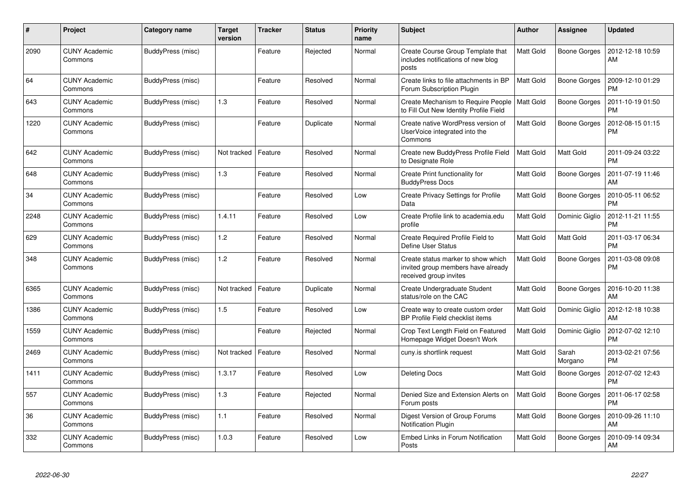| $\pmb{\#}$ | Project                         | Category name     | <b>Target</b><br>version | <b>Tracker</b> | <b>Status</b> | <b>Priority</b><br>name | <b>Subject</b>                                                                                     | <b>Author</b>    | <b>Assignee</b>     | <b>Updated</b>                |
|------------|---------------------------------|-------------------|--------------------------|----------------|---------------|-------------------------|----------------------------------------------------------------------------------------------------|------------------|---------------------|-------------------------------|
| 2090       | <b>CUNY Academic</b><br>Commons | BuddyPress (misc) |                          | Feature        | Rejected      | Normal                  | Create Course Group Template that<br>includes notifications of new blog<br>posts                   | Matt Gold        | Boone Gorges        | 2012-12-18 10:59<br>AM        |
| 64         | <b>CUNY Academic</b><br>Commons | BuddyPress (misc) |                          | Feature        | Resolved      | Normal                  | Create links to file attachments in BP<br>Forum Subscription Plugin                                | Matt Gold        | Boone Gorges        | 2009-12-10 01:29<br><b>PM</b> |
| 643        | <b>CUNY Academic</b><br>Commons | BuddyPress (misc) | 1.3                      | Feature        | Resolved      | Normal                  | Create Mechanism to Require People<br>to Fill Out New Identity Profile Field                       | <b>Matt Gold</b> | <b>Boone Gorges</b> | 2011-10-19 01:50<br><b>PM</b> |
| 1220       | <b>CUNY Academic</b><br>Commons | BuddyPress (misc) |                          | Feature        | Duplicate     | Normal                  | Create native WordPress version of<br>UserVoice integrated into the<br>Commons                     | Matt Gold        | <b>Boone Gorges</b> | 2012-08-15 01:15<br><b>PM</b> |
| 642        | <b>CUNY Academic</b><br>Commons | BuddyPress (misc) | Not tracked              | Feature        | Resolved      | Normal                  | Create new BuddyPress Profile Field<br>to Designate Role                                           | Matt Gold        | Matt Gold           | 2011-09-24 03:22<br><b>PM</b> |
| 648        | <b>CUNY Academic</b><br>Commons | BuddyPress (misc) | 1.3                      | Feature        | Resolved      | Normal                  | Create Print functionality for<br><b>BuddyPress Docs</b>                                           | Matt Gold        | <b>Boone Gorges</b> | 2011-07-19 11:46<br>AM        |
| 34         | <b>CUNY Academic</b><br>Commons | BuddyPress (misc) |                          | Feature        | Resolved      | Low                     | Create Privacy Settings for Profile<br>Data                                                        | Matt Gold        | Boone Gorges        | 2010-05-11 06:52<br><b>PM</b> |
| 2248       | <b>CUNY Academic</b><br>Commons | BuddyPress (misc) | 1.4.11                   | Feature        | Resolved      | Low                     | Create Profile link to academia.edu<br>profile                                                     | Matt Gold        | Dominic Giglio      | 2012-11-21 11:55<br><b>PM</b> |
| 629        | <b>CUNY Academic</b><br>Commons | BuddyPress (misc) | 1.2                      | Feature        | Resolved      | Normal                  | Create Required Profile Field to<br>Define User Status                                             | Matt Gold        | Matt Gold           | 2011-03-17 06:34<br><b>PM</b> |
| 348        | CUNY Academic<br>Commons        | BuddyPress (misc) | 1.2                      | Feature        | Resolved      | Normal                  | Create status marker to show which<br>invited group members have already<br>received group invites | Matt Gold        | Boone Gorges        | 2011-03-08 09:08<br><b>PM</b> |
| 6365       | <b>CUNY Academic</b><br>Commons | BuddyPress (misc) | Not tracked              | Feature        | Duplicate     | Normal                  | Create Undergraduate Student<br>status/role on the CAC                                             | Matt Gold        | Boone Gorges        | 2016-10-20 11:38<br>AM        |
| 1386       | <b>CUNY Academic</b><br>Commons | BuddyPress (misc) | 1.5                      | Feature        | Resolved      | Low                     | Create way to create custom order<br>BP Profile Field checklist items                              | Matt Gold        | Dominic Giglio      | 2012-12-18 10:38<br>AM        |
| 1559       | <b>CUNY Academic</b><br>Commons | BuddyPress (misc) |                          | Feature        | Rejected      | Normal                  | Crop Text Length Field on Featured<br>Homepage Widget Doesn't Work                                 | Matt Gold        | Dominic Giglio      | 2012-07-02 12:10<br><b>PM</b> |
| 2469       | <b>CUNY Academic</b><br>Commons | BuddyPress (misc) | Not tracked              | Feature        | Resolved      | Normal                  | cuny.is shortlink request                                                                          | Matt Gold        | Sarah<br>Morgano    | 2013-02-21 07:56<br><b>PM</b> |
| 1411       | <b>CUNY Academic</b><br>Commons | BuddyPress (misc) | 1.3.17                   | Feature        | Resolved      | Low                     | Deleting Docs                                                                                      | Matt Gold        | Boone Gorges        | 2012-07-02 12:43<br><b>PM</b> |
| 557        | <b>CUNY Academic</b><br>Commons | BuddyPress (misc) | 1.3                      | Feature        | Rejected      | Normal                  | Denied Size and Extension Alerts on<br>Forum posts                                                 | Matt Gold        | <b>Boone Gorges</b> | 2011-06-17 02:58<br><b>PM</b> |
| 36         | <b>CUNY Academic</b><br>Commons | BuddyPress (misc) | 1.1                      | Feature        | Resolved      | Normal                  | Digest Version of Group Forums<br><b>Notification Plugin</b>                                       | Matt Gold        | <b>Boone Gorges</b> | 2010-09-26 11:10<br>AM        |
| 332        | <b>CUNY Academic</b><br>Commons | BuddyPress (misc) | 1.0.3                    | Feature        | Resolved      | Low                     | Embed Links in Forum Notification<br>Posts                                                         | Matt Gold        | Boone Gorges        | 2010-09-14 09:34<br>AM        |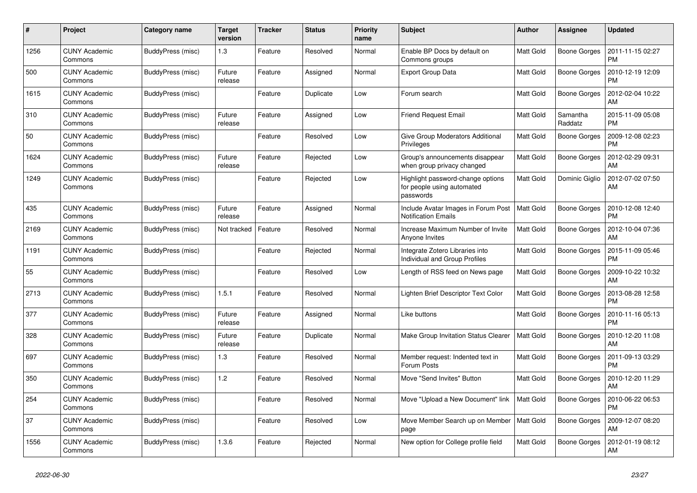| #    | <b>Project</b>                  | Category name     | Target<br>version | <b>Tracker</b> | <b>Status</b> | <b>Priority</b><br>name | <b>Subject</b>                                                               | Author           | <b>Assignee</b>     | <b>Updated</b>                |
|------|---------------------------------|-------------------|-------------------|----------------|---------------|-------------------------|------------------------------------------------------------------------------|------------------|---------------------|-------------------------------|
| 1256 | <b>CUNY Academic</b><br>Commons | BuddyPress (misc) | 1.3               | Feature        | Resolved      | Normal                  | Enable BP Docs by default on<br>Commons groups                               | <b>Matt Gold</b> | Boone Gorges        | 2011-11-15 02:27<br><b>PM</b> |
| 500  | <b>CUNY Academic</b><br>Commons | BuddyPress (misc) | Future<br>release | Feature        | Assigned      | Normal                  | <b>Export Group Data</b>                                                     | <b>Matt Gold</b> | <b>Boone Gorges</b> | 2010-12-19 12:09<br><b>PM</b> |
| 1615 | <b>CUNY Academic</b><br>Commons | BuddyPress (misc) |                   | Feature        | Duplicate     | Low                     | Forum search                                                                 | <b>Matt Gold</b> | Boone Gorges        | 2012-02-04 10:22<br>AM        |
| 310  | <b>CUNY Academic</b><br>Commons | BuddyPress (misc) | Future<br>release | Feature        | Assigned      | Low                     | <b>Friend Request Email</b>                                                  | Matt Gold        | Samantha<br>Raddatz | 2015-11-09 05:08<br><b>PM</b> |
| 50   | <b>CUNY Academic</b><br>Commons | BuddyPress (misc) |                   | Feature        | Resolved      | Low                     | Give Group Moderators Additional<br>Privileges                               | <b>Matt Gold</b> | <b>Boone Gorges</b> | 2009-12-08 02:23<br>PM        |
| 1624 | <b>CUNY Academic</b><br>Commons | BuddyPress (misc) | Future<br>release | Feature        | Rejected      | Low                     | Group's announcements disappear<br>when group privacy changed                | <b>Matt Gold</b> | Boone Gorges        | 2012-02-29 09:31<br>AM        |
| 1249 | <b>CUNY Academic</b><br>Commons | BuddyPress (misc) |                   | Feature        | Rejected      | Low                     | Highlight password-change options<br>for people using automated<br>passwords | Matt Gold        | Dominic Giglio      | 2012-07-02 07:50<br>AM        |
| 435  | <b>CUNY Academic</b><br>Commons | BuddyPress (misc) | Future<br>release | Feature        | Assigned      | Normal                  | Include Avatar Images in Forum Post<br><b>Notification Emails</b>            | <b>Matt Gold</b> | Boone Gorges        | 2010-12-08 12:40<br><b>PM</b> |
| 2169 | <b>CUNY Academic</b><br>Commons | BuddyPress (misc) | Not tracked       | Feature        | Resolved      | Normal                  | Increase Maximum Number of Invite<br>Anyone Invites                          | <b>Matt Gold</b> | <b>Boone Gorges</b> | 2012-10-04 07:36<br>AM        |
| 1191 | <b>CUNY Academic</b><br>Commons | BuddyPress (misc) |                   | Feature        | Rejected      | Normal                  | Integrate Zotero Libraries into<br>Individual and Group Profiles             | <b>Matt Gold</b> | <b>Boone Gorges</b> | 2015-11-09 05:46<br><b>PM</b> |
| 55   | <b>CUNY Academic</b><br>Commons | BuddyPress (misc) |                   | Feature        | Resolved      | Low                     | Length of RSS feed on News page                                              | <b>Matt Gold</b> | Boone Gorges        | 2009-10-22 10:32<br>AM        |
| 2713 | <b>CUNY Academic</b><br>Commons | BuddyPress (misc) | 1.5.1             | Feature        | Resolved      | Normal                  | Lighten Brief Descriptor Text Color                                          | <b>Matt Gold</b> | Boone Gorges        | 2013-08-28 12:58<br><b>PM</b> |
| 377  | <b>CUNY Academic</b><br>Commons | BuddyPress (misc) | Future<br>release | Feature        | Assigned      | Normal                  | Like buttons                                                                 | <b>Matt Gold</b> | Boone Gorges        | 2010-11-16 05:13<br><b>PM</b> |
| 328  | <b>CUNY Academic</b><br>Commons | BuddyPress (misc) | Future<br>release | Feature        | Duplicate     | Normal                  | Make Group Invitation Status Clearer                                         | <b>Matt Gold</b> | Boone Gorges        | 2010-12-20 11:08<br>AM        |
| 697  | <b>CUNY Academic</b><br>Commons | BuddyPress (misc) | 1.3               | Feature        | Resolved      | Normal                  | Member request: Indented text in<br>Forum Posts                              | <b>Matt Gold</b> | <b>Boone Gorges</b> | 2011-09-13 03:29<br><b>PM</b> |
| 350  | <b>CUNY Academic</b><br>Commons | BuddyPress (misc) | 1.2               | Feature        | Resolved      | Normal                  | Move "Send Invites" Button                                                   | <b>Matt Gold</b> | <b>Boone Gorges</b> | 2010-12-20 11:29<br>AM        |
| 254  | <b>CUNY Academic</b><br>Commons | BuddyPress (misc) |                   | Feature        | Resolved      | Normal                  | Move "Upload a New Document" link                                            | Matt Gold        | Boone Gorges        | 2010-06-22 06:53<br><b>PM</b> |
| 37   | <b>CUNY Academic</b><br>Commons | BuddyPress (misc) |                   | Feature        | Resolved      | Low                     | Move Member Search up on Member<br>page                                      | <b>Matt Gold</b> | <b>Boone Gorges</b> | 2009-12-07 08:20<br>AM        |
| 1556 | <b>CUNY Academic</b><br>Commons | BuddyPress (misc) | 1.3.6             | Feature        | Rejected      | Normal                  | New option for College profile field                                         | <b>Matt Gold</b> | Boone Gorges        | 2012-01-19 08:12<br>AM        |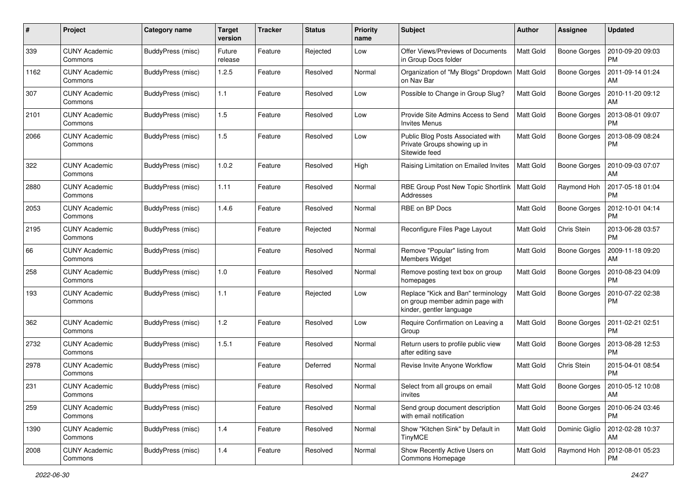| #    | Project                         | <b>Category name</b> | <b>Target</b><br>version | <b>Tracker</b> | <b>Status</b> | <b>Priority</b><br>name | <b>Subject</b>                                                                                    | <b>Author</b>    | Assignee            | <b>Updated</b>                |
|------|---------------------------------|----------------------|--------------------------|----------------|---------------|-------------------------|---------------------------------------------------------------------------------------------------|------------------|---------------------|-------------------------------|
| 339  | <b>CUNY Academic</b><br>Commons | BuddyPress (misc)    | Future<br>release        | Feature        | Rejected      | Low                     | Offer Views/Previews of Documents<br>in Group Docs folder                                         | Matt Gold        | <b>Boone Gorges</b> | 2010-09-20 09:03<br><b>PM</b> |
| 1162 | <b>CUNY Academic</b><br>Commons | BuddyPress (misc)    | 1.2.5                    | Feature        | Resolved      | Normal                  | Organization of "My Blogs" Dropdown<br>on Nav Bar                                                 | <b>Matt Gold</b> | <b>Boone Gorges</b> | 2011-09-14 01:24<br>AM        |
| 307  | CUNY Academic<br>Commons        | BuddyPress (misc)    | 1.1                      | Feature        | Resolved      | Low                     | Possible to Change in Group Slug?                                                                 | <b>Matt Gold</b> | <b>Boone Gorges</b> | 2010-11-20 09:12<br>AM        |
| 2101 | <b>CUNY Academic</b><br>Commons | BuddyPress (misc)    | 1.5                      | Feature        | Resolved      | Low                     | Provide Site Admins Access to Send<br><b>Invites Menus</b>                                        | <b>Matt Gold</b> | <b>Boone Gorges</b> | 2013-08-01 09:07<br><b>PM</b> |
| 2066 | CUNY Academic<br>Commons        | BuddyPress (misc)    | 1.5                      | Feature        | Resolved      | Low                     | Public Blog Posts Associated with<br>Private Groups showing up in<br>Sitewide feed                | <b>Matt Gold</b> | <b>Boone Gorges</b> | 2013-08-09 08:24<br><b>PM</b> |
| 322  | <b>CUNY Academic</b><br>Commons | BuddyPress (misc)    | 1.0.2                    | Feature        | Resolved      | High                    | Raising Limitation on Emailed Invites                                                             | <b>Matt Gold</b> | <b>Boone Gorges</b> | 2010-09-03 07:07<br>AM        |
| 2880 | <b>CUNY Academic</b><br>Commons | BuddyPress (misc)    | 1.11                     | Feature        | Resolved      | Normal                  | RBE Group Post New Topic Shortlink<br>Addresses                                                   | Matt Gold        | Raymond Hoh         | 2017-05-18 01:04<br><b>PM</b> |
| 2053 | CUNY Academic<br>Commons        | BuddyPress (misc)    | 1.4.6                    | Feature        | Resolved      | Normal                  | RBE on BP Docs                                                                                    | <b>Matt Gold</b> | <b>Boone Gorges</b> | 2012-10-01 04:14<br><b>PM</b> |
| 2195 | <b>CUNY Academic</b><br>Commons | BuddyPress (misc)    |                          | Feature        | Rejected      | Normal                  | Reconfigure Files Page Layout                                                                     | <b>Matt Gold</b> | Chris Stein         | 2013-06-28 03:57<br><b>PM</b> |
| 66   | <b>CUNY Academic</b><br>Commons | BuddyPress (misc)    |                          | Feature        | Resolved      | Normal                  | Remove "Popular" listing from<br><b>Members Widget</b>                                            | <b>Matt Gold</b> | <b>Boone Gorges</b> | 2009-11-18 09:20<br>AM        |
| 258  | CUNY Academic<br>Commons        | BuddyPress (misc)    | 1.0                      | Feature        | Resolved      | Normal                  | Remove posting text box on group<br>homepages                                                     | <b>Matt Gold</b> | <b>Boone Gorges</b> | 2010-08-23 04:09<br><b>PM</b> |
| 193  | <b>CUNY Academic</b><br>Commons | BuddyPress (misc)    | 1.1                      | Feature        | Rejected      | Low                     | Replace "Kick and Ban" terminology<br>on group member admin page with<br>kinder, gentler language | Matt Gold        | <b>Boone Gorges</b> | 2010-07-22 02:38<br><b>PM</b> |
| 362  | <b>CUNY Academic</b><br>Commons | BuddyPress (misc)    | $1.2$                    | Feature        | Resolved      | Low                     | Require Confirmation on Leaving a<br>Group                                                        | <b>Matt Gold</b> | <b>Boone Gorges</b> | 2011-02-21 02:51<br><b>PM</b> |
| 2732 | <b>CUNY Academic</b><br>Commons | BuddyPress (misc)    | 1.5.1                    | Feature        | Resolved      | Normal                  | Return users to profile public view<br>after editing save                                         | Matt Gold        | <b>Boone Gorges</b> | 2013-08-28 12:53<br><b>PM</b> |
| 2978 | <b>CUNY Academic</b><br>Commons | BuddyPress (misc)    |                          | Feature        | Deferred      | Normal                  | Revise Invite Anyone Workflow                                                                     | <b>Matt Gold</b> | Chris Stein         | 2015-04-01 08:54<br><b>PM</b> |
| 231  | CUNY Academic<br>Commons        | BuddyPress (misc)    |                          | Feature        | Resolved      | Normal                  | Select from all groups on email<br>invites                                                        | <b>Matt Gold</b> | Boone Gorges        | 2010-05-12 10:08<br>AM        |
| 259  | <b>CUNY Academic</b><br>Commons | BuddyPress (misc)    |                          | Feature        | Resolved      | Normal                  | Send group document description<br>with email notification                                        | Matt Gold        | <b>Boone Gorges</b> | 2010-06-24 03:46<br><b>PM</b> |
| 1390 | <b>CUNY Academic</b><br>Commons | BuddyPress (misc)    | 1.4                      | Feature        | Resolved      | Normal                  | Show "Kitchen Sink" by Default in<br><b>TinyMCE</b>                                               | Matt Gold        | Dominic Giglio      | 2012-02-28 10:37<br>AM        |
| 2008 | <b>CUNY Academic</b><br>Commons | BuddyPress (misc)    | 1.4                      | Feature        | Resolved      | Normal                  | Show Recently Active Users on<br>Commons Homepage                                                 | Matt Gold        | Raymond Hoh         | 2012-08-01 05:23<br><b>PM</b> |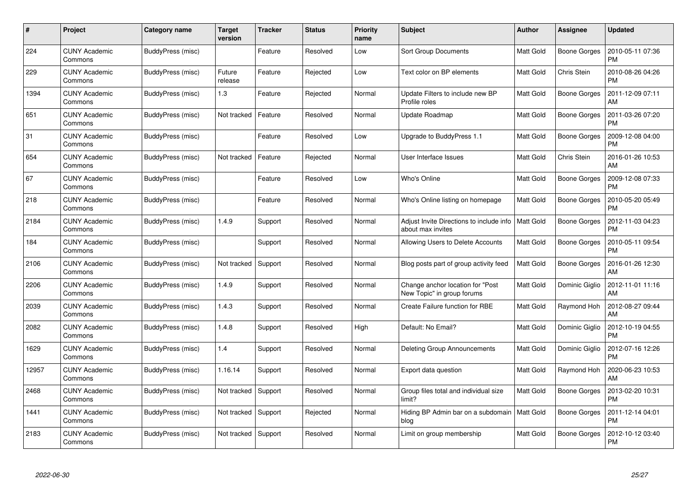| #     | Project                         | Category name     | <b>Target</b><br>version | <b>Tracker</b> | <b>Status</b> | <b>Priority</b><br>name | <b>Subject</b>                                                  | <b>Author</b>    | <b>Assignee</b>     | <b>Updated</b>                |
|-------|---------------------------------|-------------------|--------------------------|----------------|---------------|-------------------------|-----------------------------------------------------------------|------------------|---------------------|-------------------------------|
| 224   | <b>CUNY Academic</b><br>Commons | BuddyPress (misc) |                          | Feature        | Resolved      | Low                     | <b>Sort Group Documents</b>                                     | <b>Matt Gold</b> | <b>Boone Gorges</b> | 2010-05-11 07:36<br><b>PM</b> |
| 229   | <b>CUNY Academic</b><br>Commons | BuddyPress (misc) | Future<br>release        | Feature        | Rejected      | Low                     | Text color on BP elements                                       | <b>Matt Gold</b> | Chris Stein         | 2010-08-26 04:26<br><b>PM</b> |
| 1394  | <b>CUNY Academic</b><br>Commons | BuddyPress (misc) | $1.3$                    | Feature        | Rejected      | Normal                  | Update Filters to include new BP<br>Profile roles               | <b>Matt Gold</b> | <b>Boone Gorges</b> | 2011-12-09 07:11<br>AM        |
| 651   | <b>CUNY Academic</b><br>Commons | BuddyPress (misc) | Not tracked              | Feature        | Resolved      | Normal                  | Update Roadmap                                                  | Matt Gold        | Boone Gorges        | 2011-03-26 07:20<br><b>PM</b> |
| 31    | <b>CUNY Academic</b><br>Commons | BuddyPress (misc) |                          | Feature        | Resolved      | Low                     | Upgrade to BuddyPress 1.1                                       | <b>Matt Gold</b> | <b>Boone Gorges</b> | 2009-12-08 04:00<br>PM        |
| 654   | <b>CUNY Academic</b><br>Commons | BuddyPress (misc) | Not tracked              | Feature        | Rejected      | Normal                  | User Interface Issues                                           | Matt Gold        | Chris Stein         | 2016-01-26 10:53<br>AM        |
| 67    | <b>CUNY Academic</b><br>Commons | BuddyPress (misc) |                          | Feature        | Resolved      | Low                     | Who's Online                                                    | <b>Matt Gold</b> | Boone Gorges        | 2009-12-08 07:33<br><b>PM</b> |
| 218   | <b>CUNY Academic</b><br>Commons | BuddyPress (misc) |                          | Feature        | Resolved      | Normal                  | Who's Online listing on homepage                                | <b>Matt Gold</b> | Boone Gorges        | 2010-05-20 05:49<br>PM        |
| 2184  | <b>CUNY Academic</b><br>Commons | BuddyPress (misc) | 1.4.9                    | Support        | Resolved      | Normal                  | Adjust Invite Directions to include info<br>about max invites   | <b>Matt Gold</b> | Boone Gorges        | 2012-11-03 04:23<br><b>PM</b> |
| 184   | <b>CUNY Academic</b><br>Commons | BuddyPress (misc) |                          | Support        | Resolved      | Normal                  | Allowing Users to Delete Accounts                               | <b>Matt Gold</b> | Boone Gorges        | 2010-05-11 09:54<br>PM        |
| 2106  | <b>CUNY Academic</b><br>Commons | BuddyPress (misc) | Not tracked              | Support        | Resolved      | Normal                  | Blog posts part of group activity feed                          | <b>Matt Gold</b> | Boone Gorges        | 2016-01-26 12:30<br>AM        |
| 2206  | <b>CUNY Academic</b><br>Commons | BuddyPress (misc) | 1.4.9                    | Support        | Resolved      | Normal                  | Change anchor location for "Post"<br>New Topic" in group forums | <b>Matt Gold</b> | Dominic Giglio      | 2012-11-01 11:16<br>AM        |
| 2039  | CUNY Academic<br>Commons        | BuddyPress (misc) | 1.4.3                    | Support        | Resolved      | Normal                  | Create Failure function for RBE                                 | <b>Matt Gold</b> | Raymond Hoh         | 2012-08-27 09:44<br>AM        |
| 2082  | <b>CUNY Academic</b><br>Commons | BuddyPress (misc) | 1.4.8                    | Support        | Resolved      | High                    | Default: No Email?                                              | Matt Gold        | Dominic Giglio      | 2012-10-19 04:55<br><b>PM</b> |
| 1629  | <b>CUNY Academic</b><br>Commons | BuddyPress (misc) | 1.4                      | Support        | Resolved      | Normal                  | Deleting Group Announcements                                    | <b>Matt Gold</b> | Dominic Giglio      | 2012-07-16 12:26<br><b>PM</b> |
| 12957 | <b>CUNY Academic</b><br>Commons | BuddyPress (misc) | 1.16.14                  | Support        | Resolved      | Normal                  | Export data question                                            | <b>Matt Gold</b> | Raymond Hoh         | 2020-06-23 10:53<br>AM        |
| 2468  | <b>CUNY Academic</b><br>Commons | BuddyPress (misc) | Not tracked              | Support        | Resolved      | Normal                  | Group files total and individual size<br>limit?                 | <b>Matt Gold</b> | Boone Gorges        | 2013-02-20 10:31<br><b>PM</b> |
| 1441  | <b>CUNY Academic</b><br>Commons | BuddyPress (misc) | Not tracked              | Support        | Rejected      | Normal                  | Hiding BP Admin bar on a subdomain<br>blog                      | <b>Matt Gold</b> | Boone Gorges        | 2011-12-14 04:01<br><b>PM</b> |
| 2183  | <b>CUNY Academic</b><br>Commons | BuddyPress (misc) | Not tracked              | Support        | Resolved      | Normal                  | Limit on group membership                                       | Matt Gold        | Boone Gorges        | 2012-10-12 03:40<br><b>PM</b> |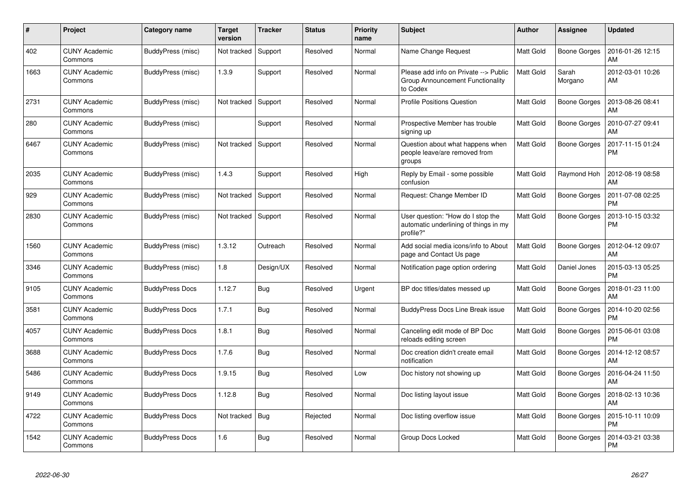| #    | <b>Project</b>                  | Category name          | Target<br>version | <b>Tracker</b> | <b>Status</b> | <b>Priority</b><br>name | <b>Subject</b>                                                                          | <b>Author</b>    | Assignee            | <b>Updated</b>                |
|------|---------------------------------|------------------------|-------------------|----------------|---------------|-------------------------|-----------------------------------------------------------------------------------------|------------------|---------------------|-------------------------------|
| 402  | <b>CUNY Academic</b><br>Commons | BuddyPress (misc)      | Not tracked       | Support        | Resolved      | Normal                  | Name Change Request                                                                     | <b>Matt Gold</b> | <b>Boone Gorges</b> | 2016-01-26 12:15<br>AM        |
| 1663 | <b>CUNY Academic</b><br>Commons | BuddyPress (misc)      | 1.3.9             | Support        | Resolved      | Normal                  | Please add info on Private --> Public<br>Group Announcement Functionality<br>to Codex   | Matt Gold        | Sarah<br>Morgano    | 2012-03-01 10:26<br>AM        |
| 2731 | <b>CUNY Academic</b><br>Commons | BuddyPress (misc)      | Not tracked       | Support        | Resolved      | Normal                  | <b>Profile Positions Question</b>                                                       | <b>Matt Gold</b> | <b>Boone Gorges</b> | 2013-08-26 08:41<br>AM        |
| 280  | <b>CUNY Academic</b><br>Commons | BuddyPress (misc)      |                   | Support        | Resolved      | Normal                  | Prospective Member has trouble<br>signing up                                            | <b>Matt Gold</b> | <b>Boone Gorges</b> | 2010-07-27 09:41<br>AM        |
| 6467 | CUNY Academic<br>Commons        | BuddyPress (misc)      | Not tracked       | Support        | Resolved      | Normal                  | Question about what happens when<br>people leave/are removed from<br>groups             | <b>Matt Gold</b> | Boone Gorges        | 2017-11-15 01:24<br><b>PM</b> |
| 2035 | <b>CUNY Academic</b><br>Commons | BuddyPress (misc)      | 1.4.3             | Support        | Resolved      | High                    | Reply by Email - some possible<br>confusion                                             | Matt Gold        | Raymond Hoh         | 2012-08-19 08:58<br>AM        |
| 929  | <b>CUNY Academic</b><br>Commons | BuddyPress (misc)      | Not tracked       | Support        | Resolved      | Normal                  | Request: Change Member ID                                                               | <b>Matt Gold</b> | Boone Gorges        | 2011-07-08 02:25<br><b>PM</b> |
| 2830 | <b>CUNY Academic</b><br>Commons | BuddyPress (misc)      | Not tracked       | Support        | Resolved      | Normal                  | User question: "How do I stop the<br>automatic underlining of things in my<br>profile?" | <b>Matt Gold</b> | <b>Boone Gorges</b> | 2013-10-15 03:32<br>PM        |
| 1560 | <b>CUNY Academic</b><br>Commons | BuddyPress (misc)      | 1.3.12            | Outreach       | Resolved      | Normal                  | Add social media icons/info to About<br>page and Contact Us page                        | <b>Matt Gold</b> | Boone Gorges        | 2012-04-12 09:07<br>AM        |
| 3346 | <b>CUNY Academic</b><br>Commons | BuddyPress (misc)      | 1.8               | Design/UX      | Resolved      | Normal                  | Notification page option ordering                                                       | <b>Matt Gold</b> | Daniel Jones        | 2015-03-13 05:25<br><b>PM</b> |
| 9105 | <b>CUNY Academic</b><br>Commons | <b>BuddyPress Docs</b> | 1.12.7            | Bug            | Resolved      | Urgent                  | BP doc titles/dates messed up                                                           | <b>Matt Gold</b> | <b>Boone Gorges</b> | 2018-01-23 11:00<br>AM        |
| 3581 | <b>CUNY Academic</b><br>Commons | <b>BuddyPress Docs</b> | 1.7.1             | <b>Bug</b>     | Resolved      | Normal                  | BuddyPress Docs Line Break issue                                                        | <b>Matt Gold</b> | Boone Gorges        | 2014-10-20 02:56<br><b>PM</b> |
| 4057 | <b>CUNY Academic</b><br>Commons | <b>BuddyPress Docs</b> | 1.8.1             | Bug            | Resolved      | Normal                  | Canceling edit mode of BP Doc<br>reloads editing screen                                 | <b>Matt Gold</b> | <b>Boone Gorges</b> | 2015-06-01 03:08<br><b>PM</b> |
| 3688 | <b>CUNY Academic</b><br>Commons | <b>BuddyPress Docs</b> | 1.7.6             | Bug            | Resolved      | Normal                  | Doc creation didn't create email<br>notification                                        | <b>Matt Gold</b> | <b>Boone Gorges</b> | 2014-12-12 08:57<br>AM        |
| 5486 | <b>CUNY Academic</b><br>Commons | <b>BuddyPress Docs</b> | 1.9.15            | Bug            | Resolved      | Low                     | Doc history not showing up                                                              | <b>Matt Gold</b> | Boone Gorges        | 2016-04-24 11:50<br>AM        |
| 9149 | <b>CUNY Academic</b><br>Commons | <b>BuddyPress Docs</b> | 1.12.8            | <b>Bug</b>     | Resolved      | Normal                  | Doc listing layout issue                                                                | <b>Matt Gold</b> | Boone Gorges        | 2018-02-13 10:36<br>AM        |
| 4722 | <b>CUNY Academic</b><br>Commons | <b>BuddyPress Docs</b> | Not tracked       | Bug            | Rejected      | Normal                  | Doc listing overflow issue                                                              | <b>Matt Gold</b> | Boone Gorges        | 2015-10-11 10:09<br><b>PM</b> |
| 1542 | <b>CUNY Academic</b><br>Commons | <b>BuddyPress Docs</b> | 1.6               | Bug            | Resolved      | Normal                  | Group Docs Locked                                                                       | <b>Matt Gold</b> | Boone Gorges        | 2014-03-21 03:38<br>PM        |